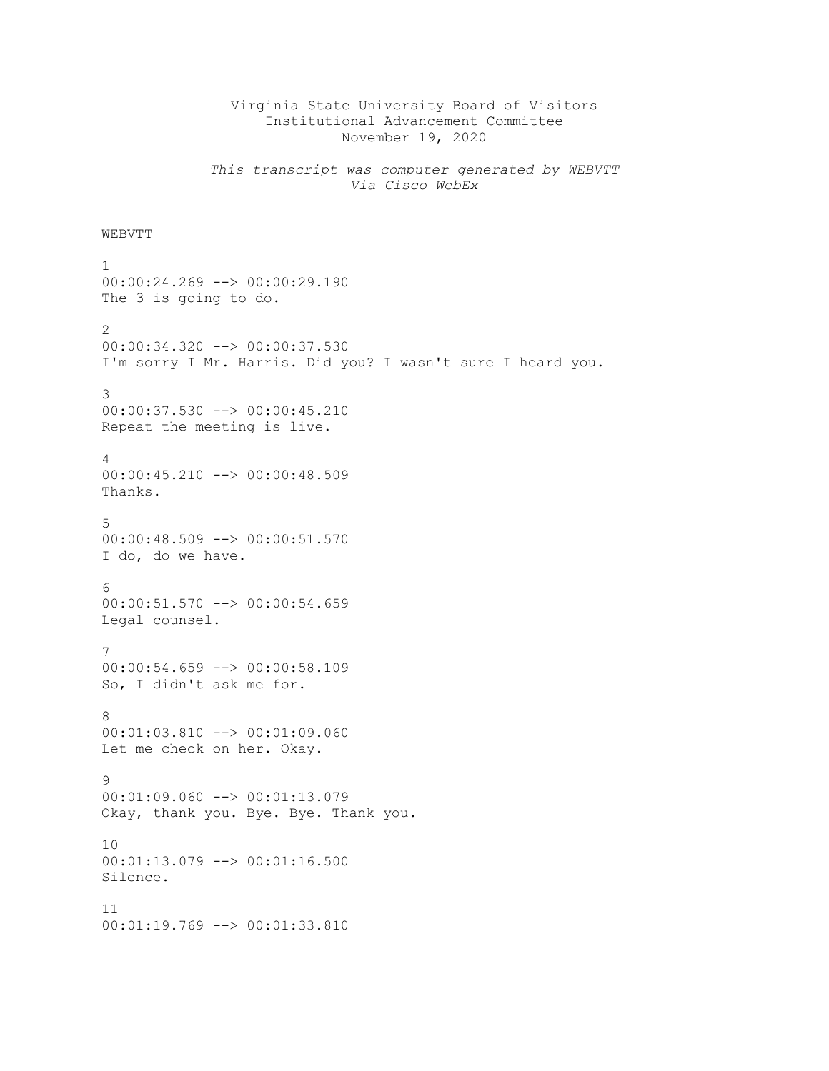## Virginia State University Board of Visitors Institutional Advancement Committee November 19, 2020

*This transcript was computer generated by WEBVTT Via Cisco WebEx*

## **WEBVTT**

```
1
00:00:24.269 --> 00:00:29.190
The 3 is going to do.
2
00:00:34.320 --> 00:00:37.530
I'm sorry I Mr. Harris. Did you? I wasn't sure I heard you.
3
00:00:37.530 --> 00:00:45.210
Repeat the meeting is live.
4
00:00:45.210 --> 00:00:48.509
Thanks.
5
00:00:48.509 --> 00:00:51.570
I do, do we have.
6
00:00:51.570 --> 00:00:54.659
Legal counsel.
7
00:00:54.659 --> 00:00:58.109
So, I didn't ask me for.
8
00:01:03.810 --> 00:01:09.060
Let me check on her. Okay.
9
00:01:09.060 --> 00:01:13.079
Okay, thank you. Bye. Bye. Thank you.
10
00:01:13.079 --> 00:01:16.500
Silence.
11
00:01:19.769 --> 00:01:33.810
```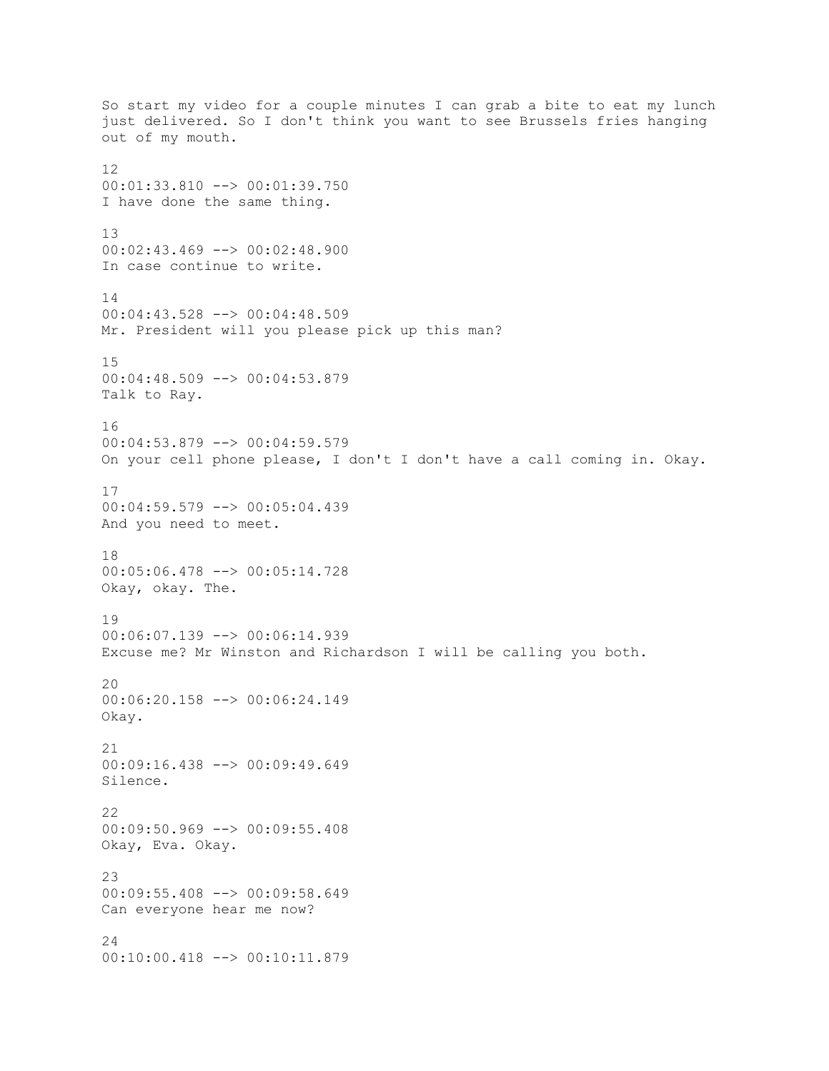So start my video for a couple minutes I can grab a bite to eat my lunch just delivered. So I don't think you want to see Brussels fries hanging out of my mouth. 12 00:01:33.810 --> 00:01:39.750 I have done the same thing. 13 00:02:43.469 --> 00:02:48.900 In case continue to write. 14 00:04:43.528 --> 00:04:48.509 Mr. President will you please pick up this man? 15 00:04:48.509 --> 00:04:53.879 Talk to Ray. 16 00:04:53.879 --> 00:04:59.579 On your cell phone please, I don't I don't have a call coming in. Okay. 17 00:04:59.579 --> 00:05:04.439 And you need to meet. 18 00:05:06.478 --> 00:05:14.728 Okay, okay. The. 19  $00:06:07.139$  -->  $00:06:14.939$ Excuse me? Mr Winston and Richardson I will be calling you both. 20 00:06:20.158 --> 00:06:24.149 Okay.  $21$ 00:09:16.438 --> 00:09:49.649 Silence. 22 00:09:50.969 --> 00:09:55.408 Okay, Eva. Okay. 23 00:09:55.408 --> 00:09:58.649 Can everyone hear me now? 24 00:10:00.418 --> 00:10:11.879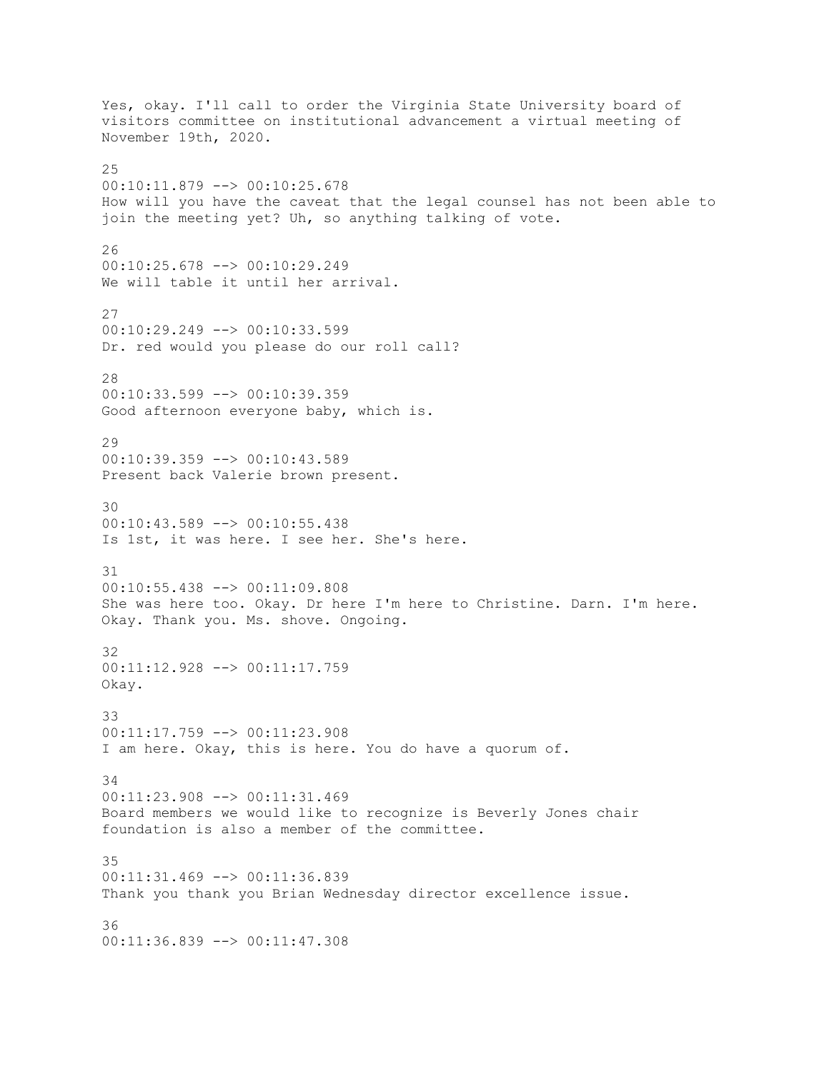Yes, okay. I'll call to order the Virginia State University board of visitors committee on institutional advancement a virtual meeting of November 19th, 2020. 25 00:10:11.879 --> 00:10:25.678 How will you have the caveat that the legal counsel has not been able to join the meeting yet? Uh, so anything talking of vote. 26 00:10:25.678 --> 00:10:29.249 We will table it until her arrival. 27 00:10:29.249 --> 00:10:33.599 Dr. red would you please do our roll call? 28 00:10:33.599 --> 00:10:39.359 Good afternoon everyone baby, which is. 29 00:10:39.359 --> 00:10:43.589 Present back Valerie brown present. 30  $00:10:43.589$  -->  $00:10:55.438$ Is 1st, it was here. I see her. She's here. 31 00:10:55.438 --> 00:11:09.808 She was here too. Okay. Dr here I'm here to Christine. Darn. I'm here. Okay. Thank you. Ms. shove. Ongoing. 32 00:11:12.928 --> 00:11:17.759 Okay. 33 00:11:17.759 --> 00:11:23.908 I am here. Okay, this is here. You do have a quorum of. 34 00:11:23.908 --> 00:11:31.469 Board members we would like to recognize is Beverly Jones chair foundation is also a member of the committee. 35 00:11:31.469 --> 00:11:36.839 Thank you thank you Brian Wednesday director excellence issue. 36 00:11:36.839 --> 00:11:47.308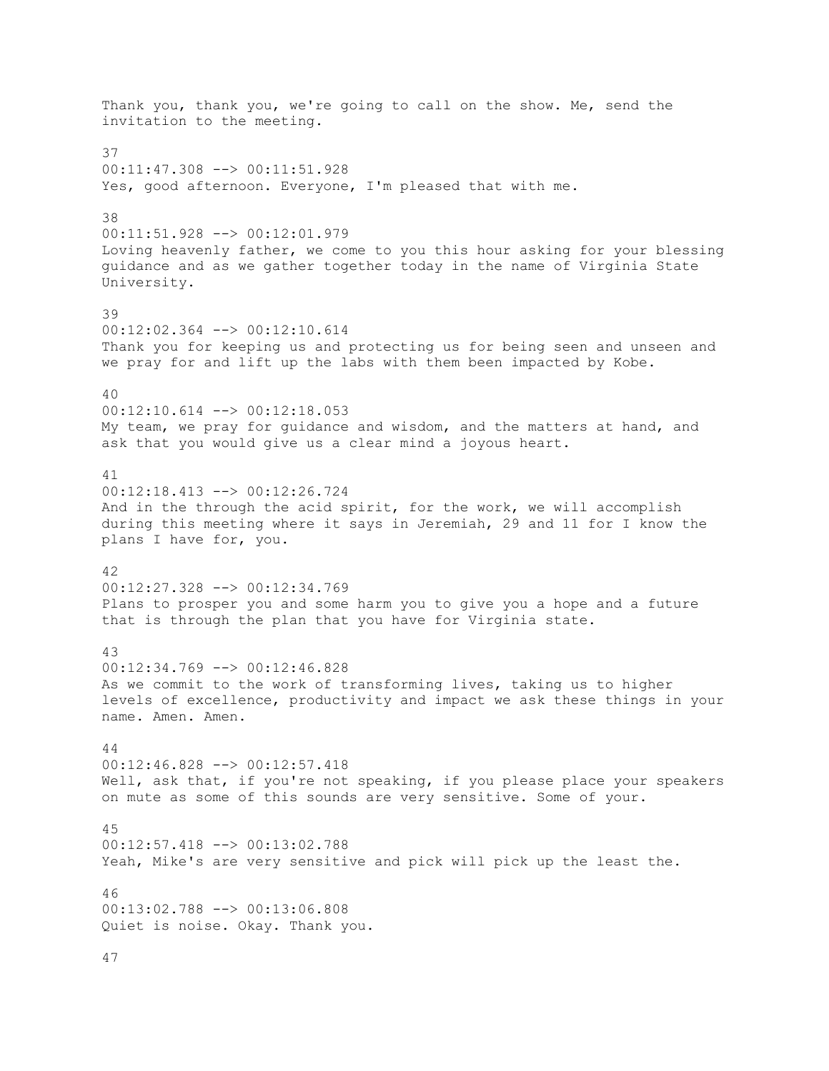Thank you, thank you, we're going to call on the show. Me, send the invitation to the meeting. 37 00:11:47.308 --> 00:11:51.928 Yes, good afternoon. Everyone, I'm pleased that with me. 38 00:11:51.928 --> 00:12:01.979 Loving heavenly father, we come to you this hour asking for your blessing guidance and as we gather together today in the name of Virginia State University. 39 00:12:02.364 --> 00:12:10.614 Thank you for keeping us and protecting us for being seen and unseen and we pray for and lift up the labs with them been impacted by Kobe. 40 00:12:10.614 --> 00:12:18.053 My team, we pray for guidance and wisdom, and the matters at hand, and ask that you would give us a clear mind a joyous heart. 41 00:12:18.413 --> 00:12:26.724 And in the through the acid spirit, for the work, we will accomplish during this meeting where it says in Jeremiah, 29 and 11 for I know the plans I have for, you. 42 00:12:27.328 --> 00:12:34.769 Plans to prosper you and some harm you to give you a hope and a future that is through the plan that you have for Virginia state. 43 00:12:34.769 --> 00:12:46.828 As we commit to the work of transforming lives, taking us to higher levels of excellence, productivity and impact we ask these things in your name. Amen. Amen.  $\Delta \Delta$ 00:12:46.828 --> 00:12:57.418 Well, ask that, if you're not speaking, if you please place your speakers on mute as some of this sounds are very sensitive. Some of your. 45 00:12:57.418 --> 00:13:02.788 Yeah, Mike's are very sensitive and pick will pick up the least the. 46 00:13:02.788 --> 00:13:06.808 Quiet is noise. Okay. Thank you.

47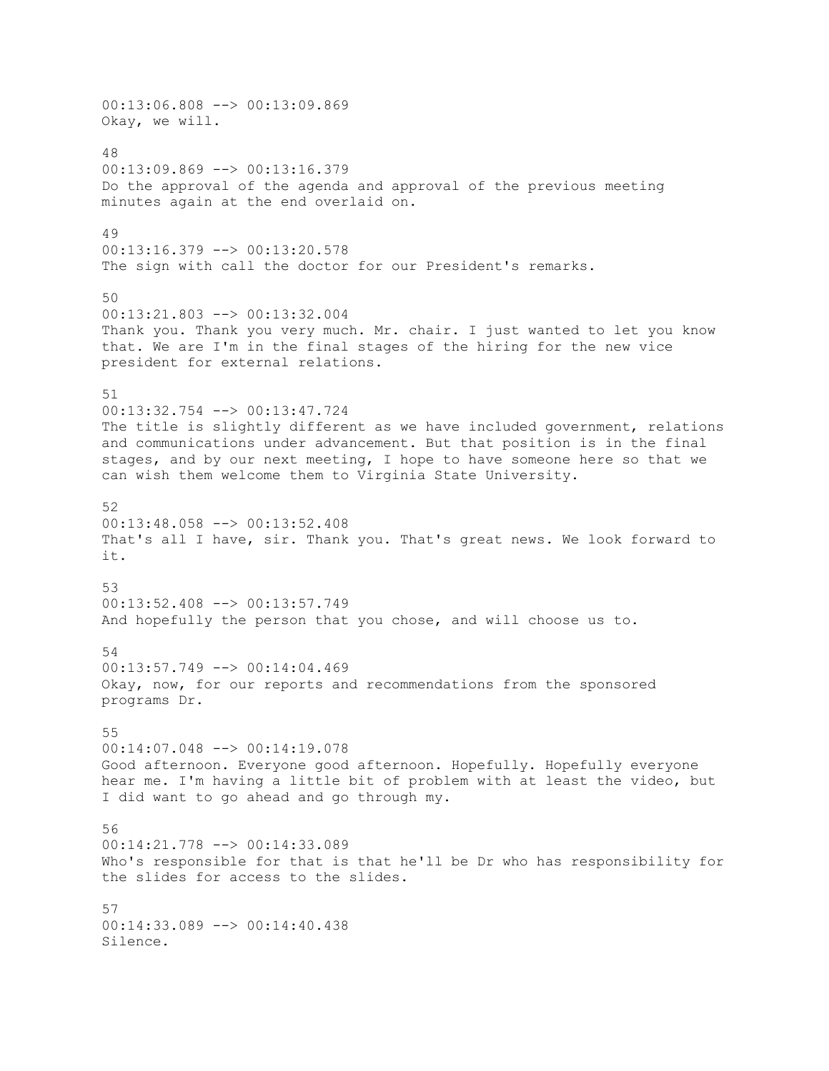00:13:06.808 --> 00:13:09.869 Okay, we will. 48 00:13:09.869 --> 00:13:16.379 Do the approval of the agenda and approval of the previous meeting minutes again at the end overlaid on. 49 00:13:16.379 --> 00:13:20.578 The sign with call the doctor for our President's remarks. 50 00:13:21.803 --> 00:13:32.004 Thank you. Thank you very much. Mr. chair. I just wanted to let you know that. We are I'm in the final stages of the hiring for the new vice president for external relations. 51 00:13:32.754 --> 00:13:47.724 The title is slightly different as we have included government, relations and communications under advancement. But that position is in the final stages, and by our next meeting, I hope to have someone here so that we can wish them welcome them to Virginia State University. 52  $00:13:48.058$  -->  $00:13:52.408$ That's all I have, sir. Thank you. That's great news. We look forward to it. 53 00:13:52.408 --> 00:13:57.749 And hopefully the person that you chose, and will choose us to. 54  $00:13:57.749$  -->  $00:14:04.469$ Okay, now, for our reports and recommendations from the sponsored programs Dr. 55 00:14:07.048 --> 00:14:19.078 Good afternoon. Everyone good afternoon. Hopefully. Hopefully everyone hear me. I'm having a little bit of problem with at least the video, but I did want to go ahead and go through my. 56 00:14:21.778 --> 00:14:33.089 Who's responsible for that is that he'll be Dr who has responsibility for the slides for access to the slides. 57 00:14:33.089 --> 00:14:40.438 Silence.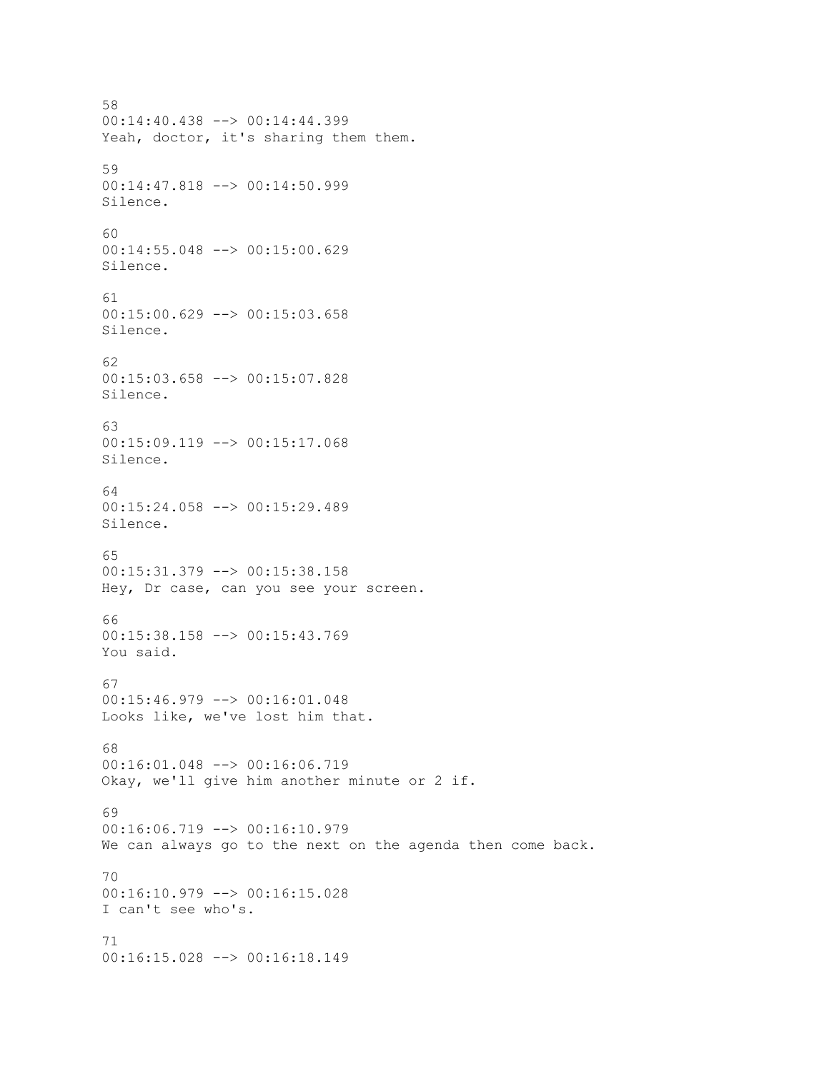58 00:14:40.438 --> 00:14:44.399 Yeah, doctor, it's sharing them them. 59 00:14:47.818 --> 00:14:50.999 Silence. 60 00:14:55.048 --> 00:15:00.629 Silence. 61 00:15:00.629 --> 00:15:03.658 Silence. 62 00:15:03.658 --> 00:15:07.828 Silence. 63 00:15:09.119 --> 00:15:17.068 Silence. 64 00:15:24.058 --> 00:15:29.489 Silence. 65 00:15:31.379 --> 00:15:38.158 Hey, Dr case, can you see your screen. 66  $00:15:38.158$  -->  $00:15:43.769$ You said. 67 00:15:46.979 --> 00:16:01.048 Looks like, we've lost him that. 68 00:16:01.048 --> 00:16:06.719 Okay, we'll give him another minute or 2 if. 69 00:16:06.719 --> 00:16:10.979 We can always go to the next on the agenda then come back. 70 00:16:10.979 --> 00:16:15.028 I can't see who's. 71 00:16:15.028 --> 00:16:18.149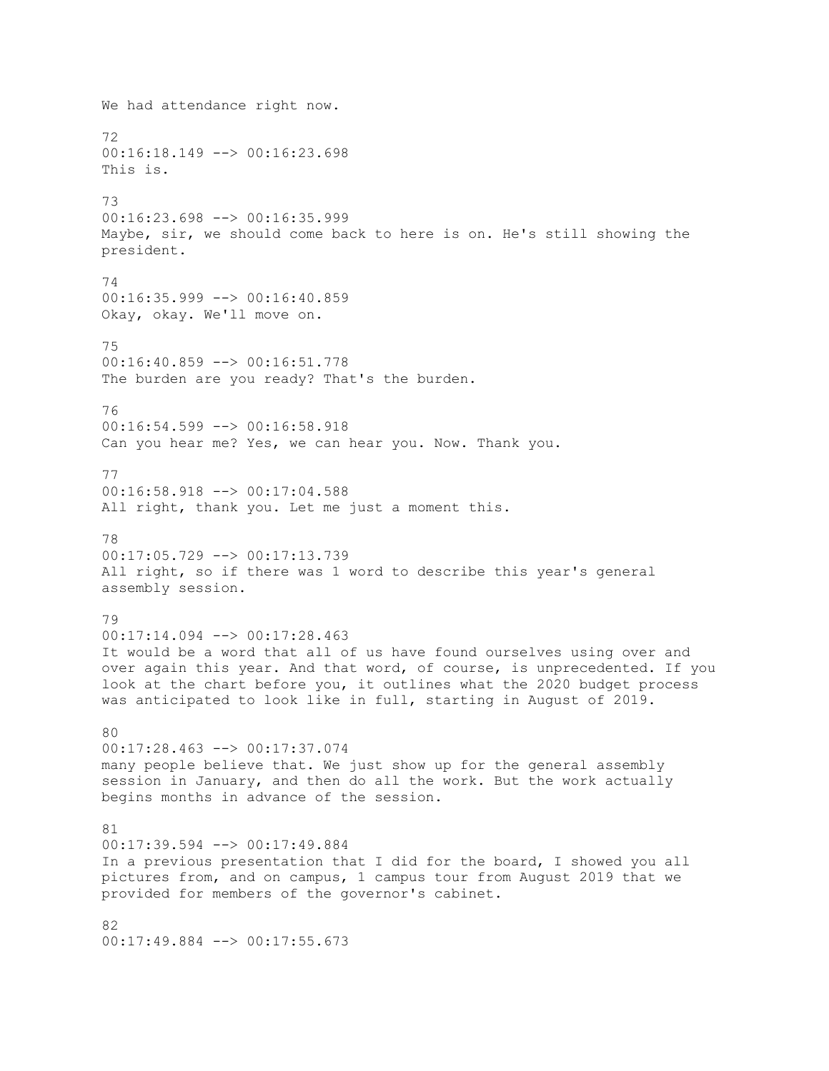We had attendance right now. 72 00:16:18.149 --> 00:16:23.698 This is. 73 00:16:23.698 --> 00:16:35.999 Maybe, sir, we should come back to here is on. He's still showing the president. 74  $00:16:35.999$  -->  $00:16:40.859$ Okay, okay. We'll move on. 75 00:16:40.859 --> 00:16:51.778 The burden are you ready? That's the burden. 76 00:16:54.599 --> 00:16:58.918 Can you hear me? Yes, we can hear you. Now. Thank you. 77 00:16:58.918 --> 00:17:04.588 All right, thank you. Let me just a moment this. 78 00:17:05.729 --> 00:17:13.739 All right, so if there was 1 word to describe this year's general assembly session. 79  $00:17:14.094$  -->  $00:17:28.463$ It would be a word that all of us have found ourselves using over and over again this year. And that word, of course, is unprecedented. If you look at the chart before you, it outlines what the 2020 budget process was anticipated to look like in full, starting in August of 2019. 80 00:17:28.463 --> 00:17:37.074 many people believe that. We just show up for the general assembly session in January, and then do all the work. But the work actually begins months in advance of the session. 81 00:17:39.594 --> 00:17:49.884 In a previous presentation that I did for the board, I showed you all pictures from, and on campus, 1 campus tour from August 2019 that we provided for members of the governor's cabinet. 82 00:17:49.884 --> 00:17:55.673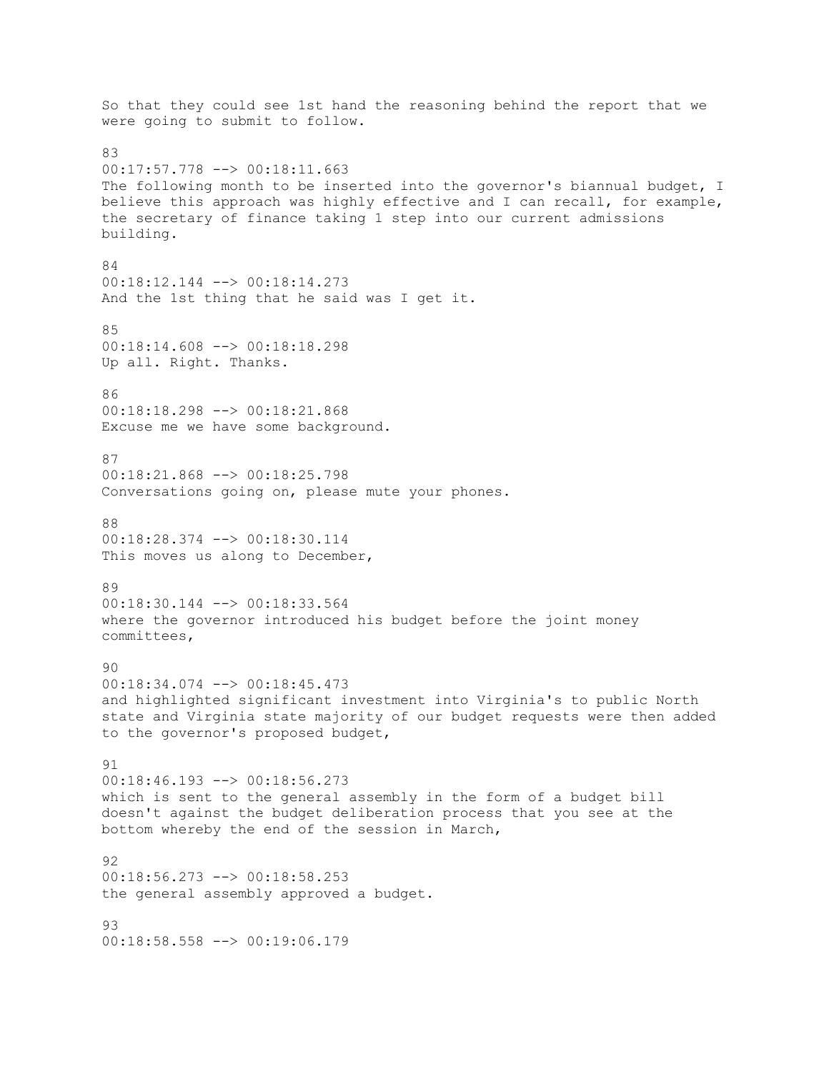So that they could see 1st hand the reasoning behind the report that we were going to submit to follow. 83 00:17:57.778 --> 00:18:11.663 The following month to be inserted into the governor's biannual budget, I believe this approach was highly effective and I can recall, for example, the secretary of finance taking 1 step into our current admissions building. 84 00:18:12.144 --> 00:18:14.273 And the 1st thing that he said was I get it. 85 00:18:14.608 --> 00:18:18.298 Up all. Right. Thanks. 86 00:18:18.298 --> 00:18:21.868 Excuse me we have some background. 87 00:18:21.868 --> 00:18:25.798 Conversations going on, please mute your phones. 88 00:18:28.374 --> 00:18:30.114 This moves us along to December, 89 00:18:30.144 --> 00:18:33.564 where the governor introduced his budget before the joint money committees, 90 00:18:34.074 --> 00:18:45.473 and highlighted significant investment into Virginia's to public North state and Virginia state majority of our budget requests were then added to the governor's proposed budget, 91 00:18:46.193 --> 00:18:56.273 which is sent to the general assembly in the form of a budget bill doesn't against the budget deliberation process that you see at the bottom whereby the end of the session in March, 92 00:18:56.273 --> 00:18:58.253 the general assembly approved a budget. 93 00:18:58.558 --> 00:19:06.179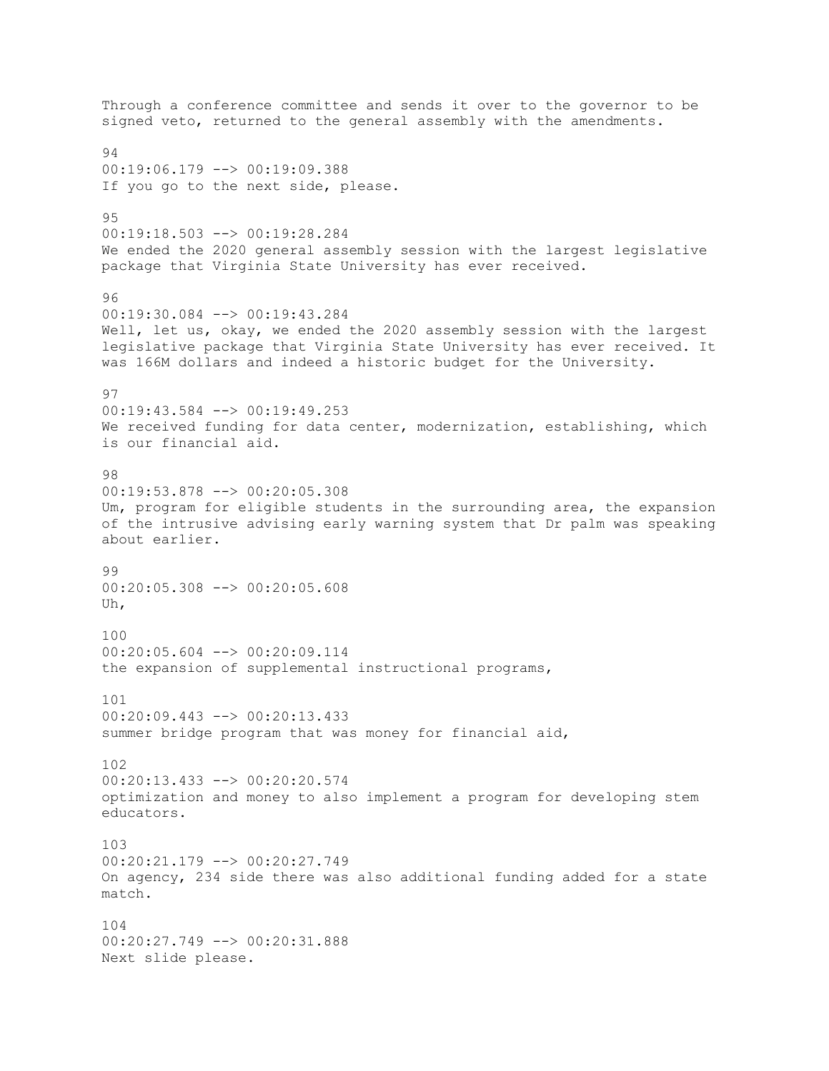Through a conference committee and sends it over to the governor to be signed veto, returned to the general assembly with the amendments. 94 00:19:06.179 --> 00:19:09.388 If you go to the next side, please. 95 00:19:18.503 --> 00:19:28.284 We ended the 2020 general assembly session with the largest legislative package that Virginia State University has ever received. 96 00:19:30.084 --> 00:19:43.284 Well, let us, okay, we ended the 2020 assembly session with the largest legislative package that Virginia State University has ever received. It was 166M dollars and indeed a historic budget for the University. 97 00:19:43.584 --> 00:19:49.253 We received funding for data center, modernization, establishing, which is our financial aid. 98 00:19:53.878 --> 00:20:05.308 Um, program for eligible students in the surrounding area, the expansion of the intrusive advising early warning system that Dr palm was speaking about earlier. 99 00:20:05.308 --> 00:20:05.608 Uh, 100 00:20:05.604 --> 00:20:09.114 the expansion of supplemental instructional programs, 101  $00:20:09.443$  -->  $00:20:13.433$ summer bridge program that was money for financial aid, 102 00:20:13.433 --> 00:20:20.574 optimization and money to also implement a program for developing stem educators. 103 00:20:21.179 --> 00:20:27.749 On agency, 234 side there was also additional funding added for a state match. 104 00:20:27.749 --> 00:20:31.888 Next slide please.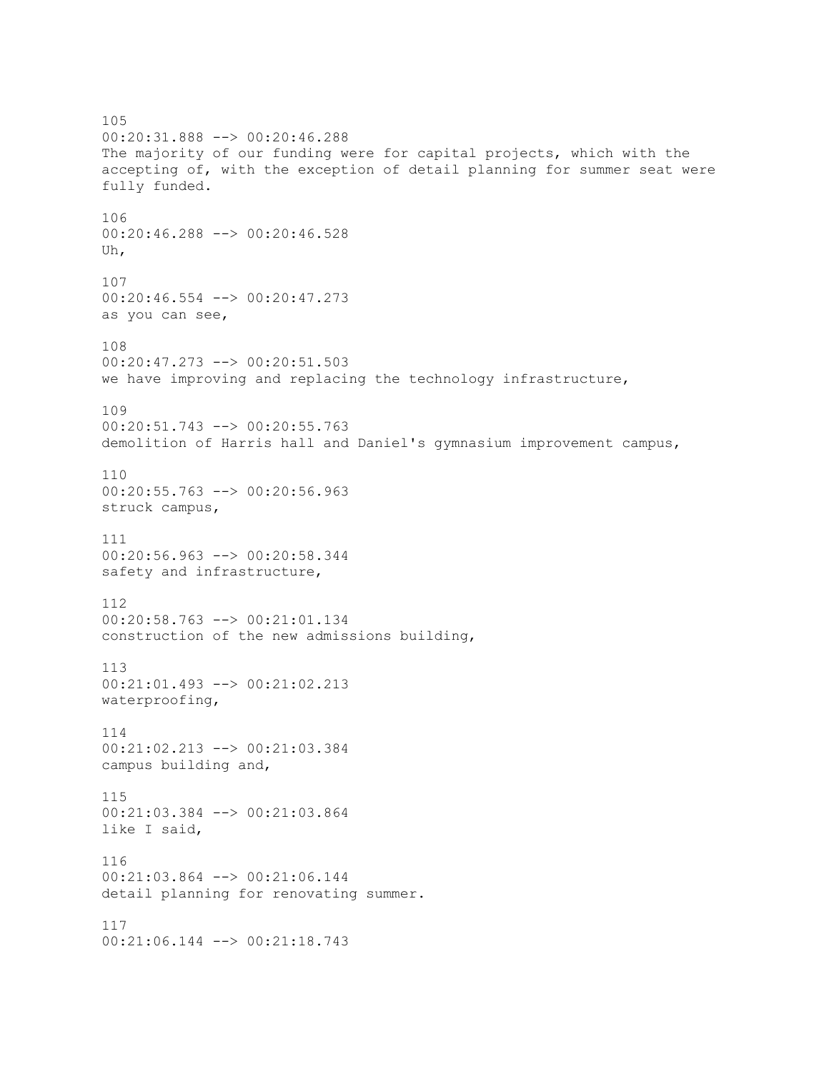105 00:20:31.888 --> 00:20:46.288 The majority of our funding were for capital projects, which with the accepting of, with the exception of detail planning for summer seat were fully funded. 106 00:20:46.288 --> 00:20:46.528 Uh, 107 00:20:46.554 --> 00:20:47.273 as you can see, 108 00:20:47.273 --> 00:20:51.503 we have improving and replacing the technology infrastructure, 109 00:20:51.743 --> 00:20:55.763 demolition of Harris hall and Daniel's gymnasium improvement campus, 110 00:20:55.763 --> 00:20:56.963 struck campus, 111 00:20:56.963 --> 00:20:58.344 safety and infrastructure, 112 00:20:58.763 --> 00:21:01.134 construction of the new admissions building, 113 00:21:01.493 --> 00:21:02.213 waterproofing, 114 00:21:02.213 --> 00:21:03.384 campus building and, 115 00:21:03.384 --> 00:21:03.864 like I said, 116 00:21:03.864 --> 00:21:06.144 detail planning for renovating summer. 117 00:21:06.144 --> 00:21:18.743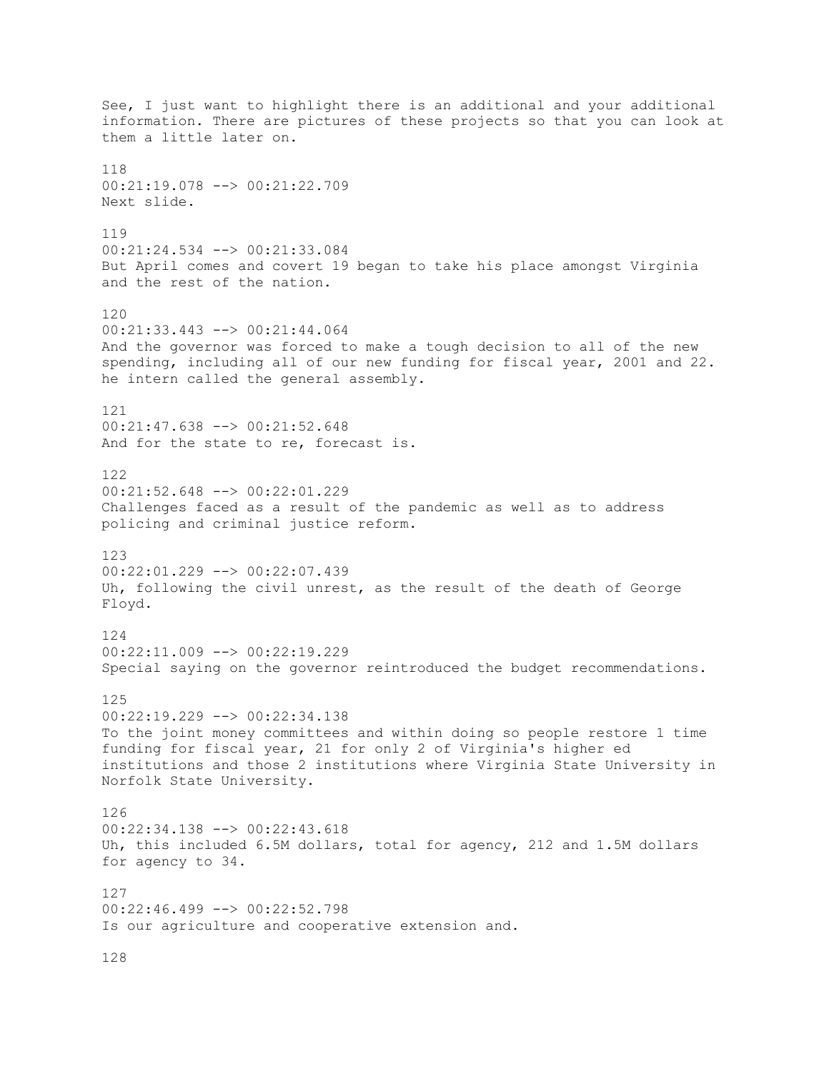See, I just want to highlight there is an additional and your additional information. There are pictures of these projects so that you can look at them a little later on. 118 00:21:19.078 --> 00:21:22.709 Next slide. 119 00:21:24.534 --> 00:21:33.084 But April comes and covert 19 began to take his place amongst Virginia and the rest of the nation. 120 00:21:33.443 --> 00:21:44.064 And the governor was forced to make a tough decision to all of the new spending, including all of our new funding for fiscal year, 2001 and 22. he intern called the general assembly. 121 00:21:47.638 --> 00:21:52.648 And for the state to re, forecast is. 122 00:21:52.648 --> 00:22:01.229 Challenges faced as a result of the pandemic as well as to address policing and criminal justice reform. 123 00:22:01.229 --> 00:22:07.439 Uh, following the civil unrest, as the result of the death of George Floyd. 124 00:22:11.009 --> 00:22:19.229 Special saying on the governor reintroduced the budget recommendations. 125  $00:22:19.229$  -->  $00:22:34.138$ To the joint money committees and within doing so people restore 1 time funding for fiscal year, 21 for only 2 of Virginia's higher ed institutions and those 2 institutions where Virginia State University in Norfolk State University. 126 00:22:34.138 --> 00:22:43.618 Uh, this included 6.5M dollars, total for agency, 212 and 1.5M dollars for agency to 34. 127 00:22:46.499 --> 00:22:52.798 Is our agriculture and cooperative extension and.

128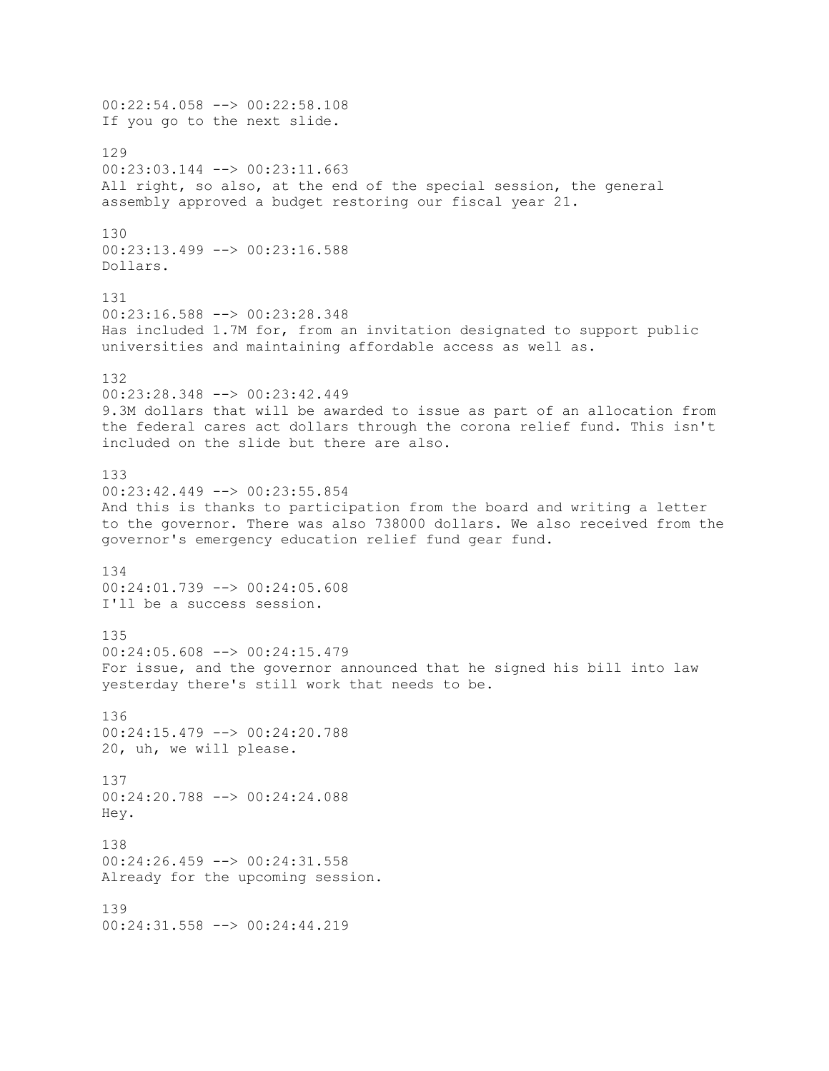00:22:54.058 --> 00:22:58.108 If you go to the next slide. 129 00:23:03.144 --> 00:23:11.663 All right, so also, at the end of the special session, the general assembly approved a budget restoring our fiscal year 21. 130 00:23:13.499 --> 00:23:16.588 Dollars. 131 00:23:16.588 --> 00:23:28.348 Has included 1.7M for, from an invitation designated to support public universities and maintaining affordable access as well as. 132 00:23:28.348 --> 00:23:42.449 9.3M dollars that will be awarded to issue as part of an allocation from the federal cares act dollars through the corona relief fund. This isn't included on the slide but there are also. 133 00:23:42.449 --> 00:23:55.854 And this is thanks to participation from the board and writing a letter to the governor. There was also 738000 dollars. We also received from the governor's emergency education relief fund gear fund. 134 00:24:01.739 --> 00:24:05.608 I'll be a success session. 135 00:24:05.608 --> 00:24:15.479 For issue, and the governor announced that he signed his bill into law yesterday there's still work that needs to be. 136 00:24:15.479 --> 00:24:20.788 20, uh, we will please. 137 00:24:20.788 --> 00:24:24.088 Hey. 138 00:24:26.459 --> 00:24:31.558 Already for the upcoming session. 139 00:24:31.558 --> 00:24:44.219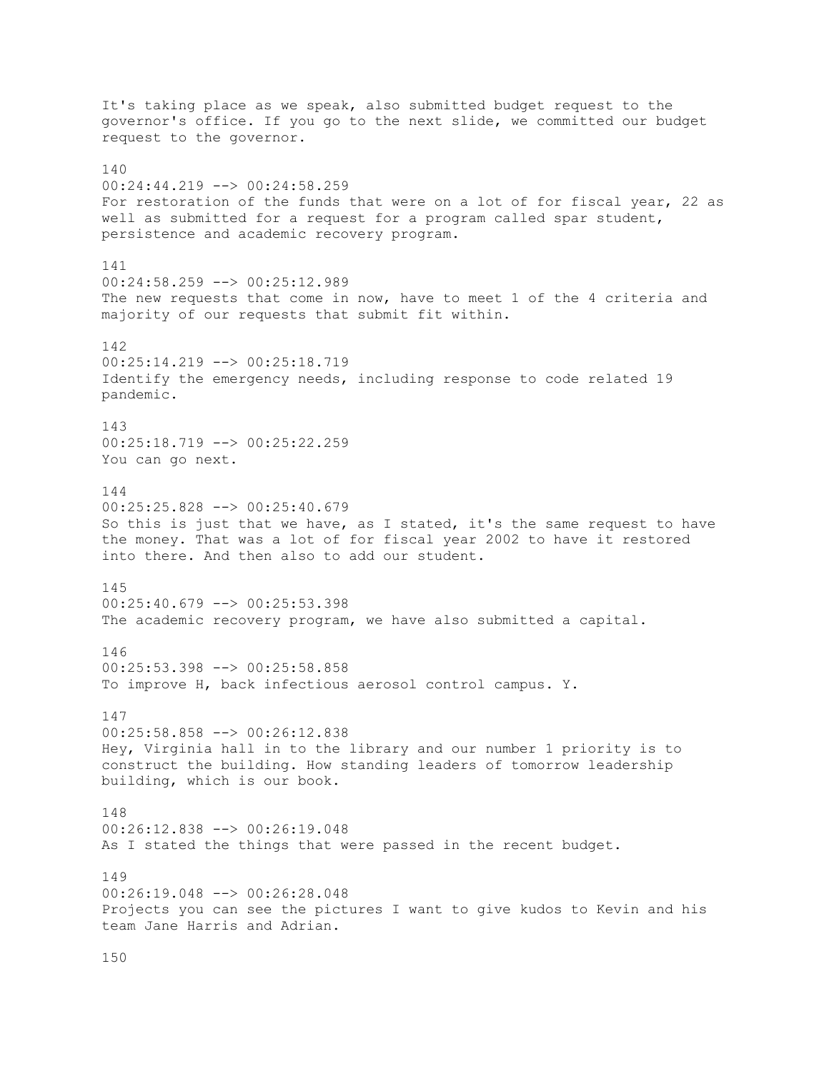It's taking place as we speak, also submitted budget request to the governor's office. If you go to the next slide, we committed our budget request to the governor. 140 00:24:44.219 --> 00:24:58.259 For restoration of the funds that were on a lot of for fiscal year, 22 as well as submitted for a request for a program called spar student, persistence and academic recovery program. 141 00:24:58.259 --> 00:25:12.989 The new requests that come in now, have to meet 1 of the 4 criteria and majority of our requests that submit fit within. 142 00:25:14.219 --> 00:25:18.719 Identify the emergency needs, including response to code related 19 pandemic. 143 00:25:18.719 --> 00:25:22.259 You can go next. 144 00:25:25.828 --> 00:25:40.679 So this is just that we have, as I stated, it's the same request to have the money. That was a lot of for fiscal year 2002 to have it restored into there. And then also to add our student. 145  $00:25:40.679$  -->  $00:25:53.398$ The academic recovery program, we have also submitted a capital. 146 00:25:53.398 --> 00:25:58.858 To improve H, back infectious aerosol control campus. Y. 147 00:25:58.858 --> 00:26:12.838 Hey, Virginia hall in to the library and our number 1 priority is to construct the building. How standing leaders of tomorrow leadership building, which is our book. 148 00:26:12.838 --> 00:26:19.048 As I stated the things that were passed in the recent budget. 149 00:26:19.048 --> 00:26:28.048 Projects you can see the pictures I want to give kudos to Kevin and his team Jane Harris and Adrian.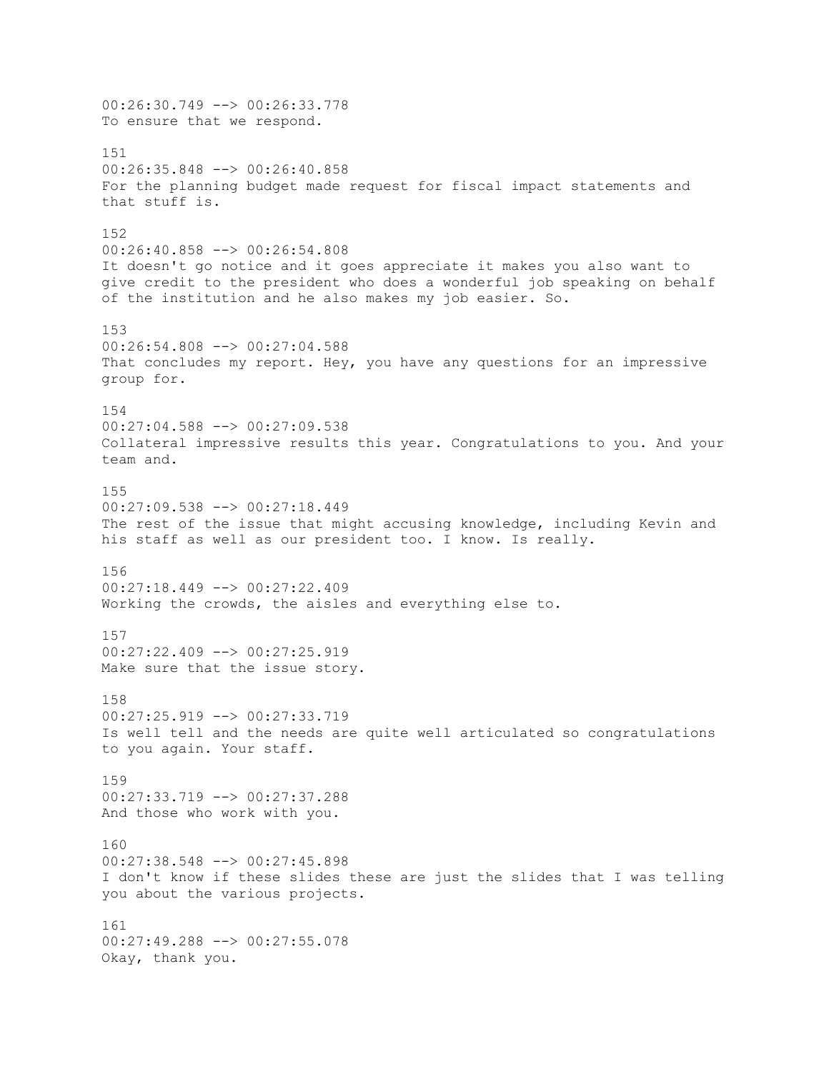00:26:30.749 --> 00:26:33.778 To ensure that we respond. 151 00:26:35.848 --> 00:26:40.858 For the planning budget made request for fiscal impact statements and that stuff is. 152 00:26:40.858 --> 00:26:54.808 It doesn't go notice and it goes appreciate it makes you also want to give credit to the president who does a wonderful job speaking on behalf of the institution and he also makes my job easier. So. 153 00:26:54.808 --> 00:27:04.588 That concludes my report. Hey, you have any questions for an impressive group for. 154 00:27:04.588 --> 00:27:09.538 Collateral impressive results this year. Congratulations to you. And your team and. 155 00:27:09.538 --> 00:27:18.449 The rest of the issue that might accusing knowledge, including Kevin and his staff as well as our president too. I know. Is really. 156 00:27:18.449 --> 00:27:22.409 Working the crowds, the aisles and everything else to. 157 00:27:22.409 --> 00:27:25.919 Make sure that the issue story. 158 00:27:25.919 --> 00:27:33.719 Is well tell and the needs are quite well articulated so congratulations to you again. Your staff. 159 00:27:33.719 --> 00:27:37.288 And those who work with you. 160 00:27:38.548 --> 00:27:45.898 I don't know if these slides these are just the slides that I was telling you about the various projects. 161 00:27:49.288 --> 00:27:55.078 Okay, thank you.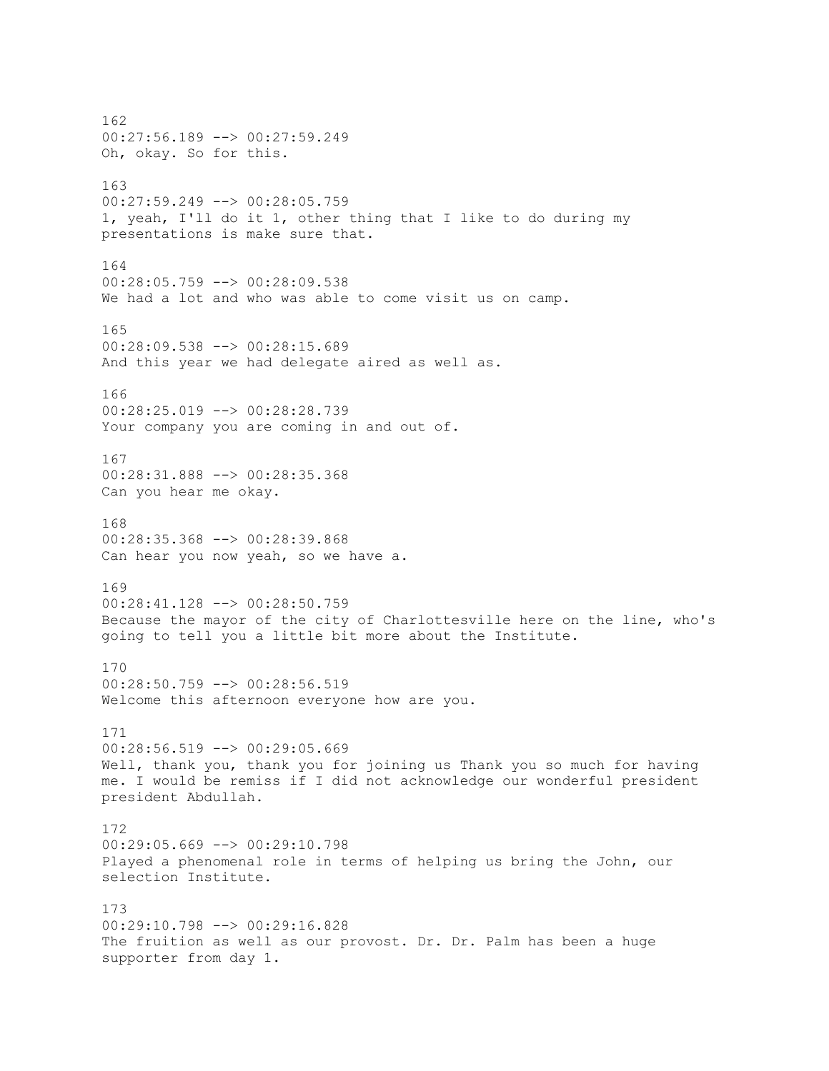162 00:27:56.189 --> 00:27:59.249 Oh, okay. So for this. 163 00:27:59.249 --> 00:28:05.759 1, yeah, I'll do it 1, other thing that I like to do during my presentations is make sure that. 164 00:28:05.759 --> 00:28:09.538 We had a lot and who was able to come visit us on camp. 165 00:28:09.538 --> 00:28:15.689 And this year we had delegate aired as well as. 166 00:28:25.019 --> 00:28:28.739 Your company you are coming in and out of. 167 00:28:31.888 --> 00:28:35.368 Can you hear me okay. 168 00:28:35.368 --> 00:28:39.868 Can hear you now yeah, so we have a. 169 00:28:41.128 --> 00:28:50.759 Because the mayor of the city of Charlottesville here on the line, who's going to tell you a little bit more about the Institute. 170 00:28:50.759 --> 00:28:56.519 Welcome this afternoon everyone how are you. 171 00:28:56.519 --> 00:29:05.669 Well, thank you, thank you for joining us Thank you so much for having me. I would be remiss if I did not acknowledge our wonderful president president Abdullah. 172 00:29:05.669 --> 00:29:10.798 Played a phenomenal role in terms of helping us bring the John, our selection Institute. 173 00:29:10.798 --> 00:29:16.828 The fruition as well as our provost. Dr. Dr. Palm has been a huge supporter from day 1.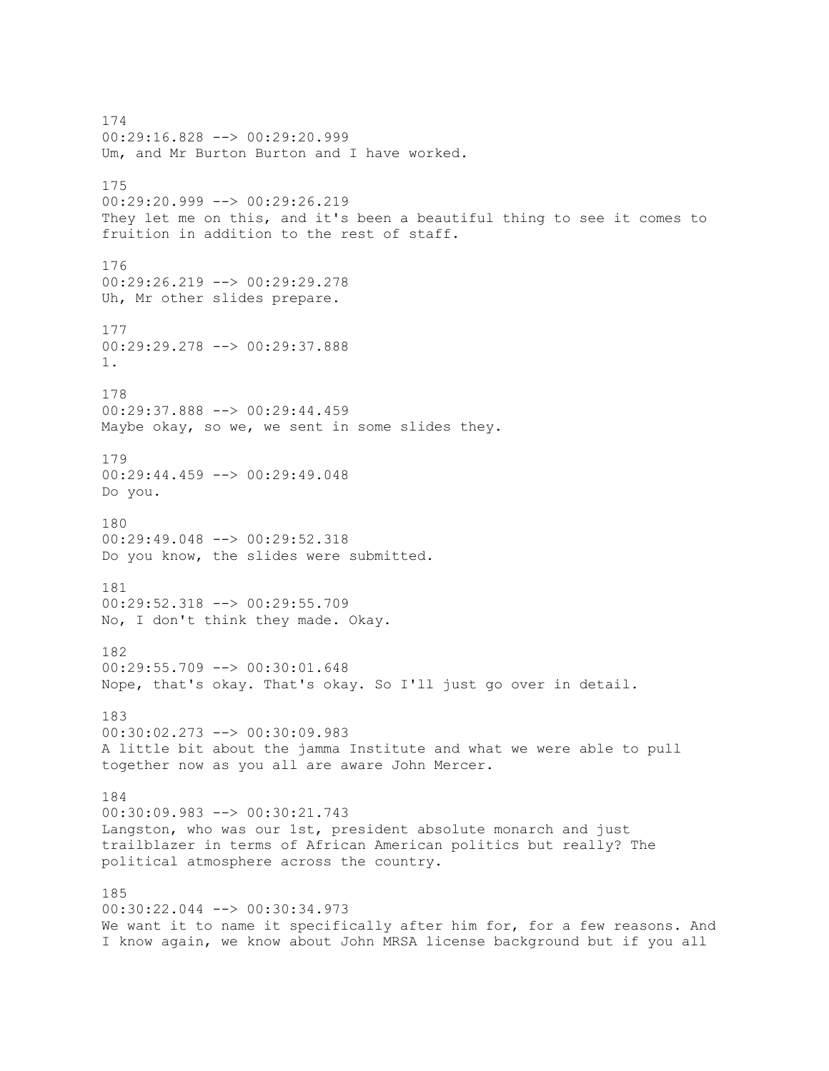174 00:29:16.828 --> 00:29:20.999 Um, and Mr Burton Burton and I have worked. 175 00:29:20.999 --> 00:29:26.219 They let me on this, and it's been a beautiful thing to see it comes to fruition in addition to the rest of staff. 176 00:29:26.219 --> 00:29:29.278 Uh, Mr other slides prepare. 177 00:29:29.278 --> 00:29:37.888 1. 178 00:29:37.888 --> 00:29:44.459 Maybe okay, so we, we sent in some slides they. 179 00:29:44.459 --> 00:29:49.048 Do you. 180 00:29:49.048 --> 00:29:52.318 Do you know, the slides were submitted. 181 00:29:52.318 --> 00:29:55.709 No, I don't think they made. Okay. 182 00:29:55.709 --> 00:30:01.648 Nope, that's okay. That's okay. So I'll just go over in detail. 183 00:30:02.273 --> 00:30:09.983 A little bit about the jamma Institute and what we were able to pull together now as you all are aware John Mercer. 184 00:30:09.983 --> 00:30:21.743 Langston, who was our 1st, president absolute monarch and just trailblazer in terms of African American politics but really? The political atmosphere across the country. 185 00:30:22.044 --> 00:30:34.973 We want it to name it specifically after him for, for a few reasons. And I know again, we know about John MRSA license background but if you all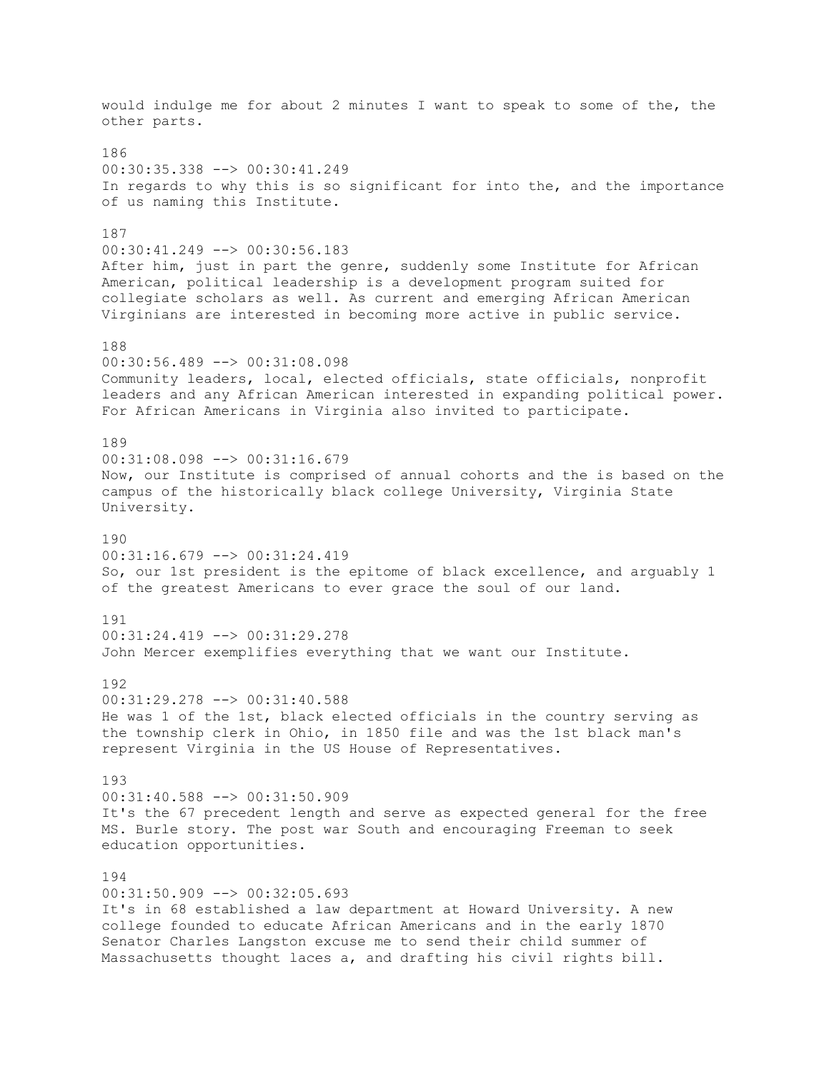would indulge me for about 2 minutes I want to speak to some of the, the other parts. 186 00:30:35.338 --> 00:30:41.249 In regards to why this is so significant for into the, and the importance of us naming this Institute. 187 00:30:41.249 --> 00:30:56.183 After him, just in part the genre, suddenly some Institute for African American, political leadership is a development program suited for collegiate scholars as well. As current and emerging African American Virginians are interested in becoming more active in public service. 188 00:30:56.489 --> 00:31:08.098 Community leaders, local, elected officials, state officials, nonprofit leaders and any African American interested in expanding political power. For African Americans in Virginia also invited to participate. 189 00:31:08.098 --> 00:31:16.679 Now, our Institute is comprised of annual cohorts and the is based on the campus of the historically black college University, Virginia State University. 190 00:31:16.679 --> 00:31:24.419 So, our 1st president is the epitome of black excellence, and arguably 1 of the greatest Americans to ever grace the soul of our land. 191  $00:31:24.419$  -->  $00:31:29.278$ John Mercer exemplifies everything that we want our Institute. 192 00:31:29.278 --> 00:31:40.588 He was 1 of the 1st, black elected officials in the country serving as the township clerk in Ohio, in 1850 file and was the 1st black man's represent Virginia in the US House of Representatives. 193 00:31:40.588 --> 00:31:50.909 It's the 67 precedent length and serve as expected general for the free MS. Burle story. The post war South and encouraging Freeman to seek education opportunities. 194  $00:31:50.909$  -->  $00:32:05.693$ It's in 68 established a law department at Howard University. A new college founded to educate African Americans and in the early 1870 Senator Charles Langston excuse me to send their child summer of Massachusetts thought laces a, and drafting his civil rights bill.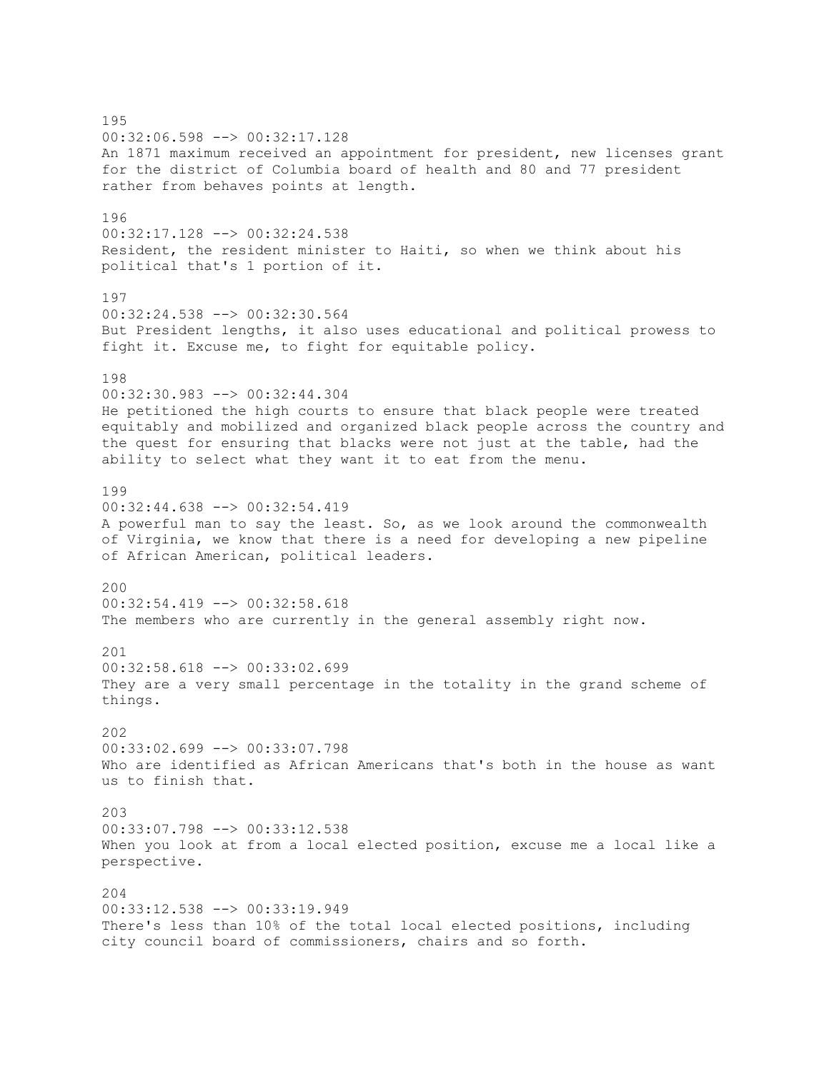195 00:32:06.598 --> 00:32:17.128 An 1871 maximum received an appointment for president, new licenses grant for the district of Columbia board of health and 80 and 77 president rather from behaves points at length. 196 00:32:17.128 --> 00:32:24.538 Resident, the resident minister to Haiti, so when we think about his political that's 1 portion of it. 197 00:32:24.538 --> 00:32:30.564 But President lengths, it also uses educational and political prowess to fight it. Excuse me, to fight for equitable policy. 198 00:32:30.983 --> 00:32:44.304 He petitioned the high courts to ensure that black people were treated equitably and mobilized and organized black people across the country and the quest for ensuring that blacks were not just at the table, had the ability to select what they want it to eat from the menu. 199 00:32:44.638 --> 00:32:54.419 A powerful man to say the least. So, as we look around the commonwealth of Virginia, we know that there is a need for developing a new pipeline of African American, political leaders. 200 00:32:54.419 --> 00:32:58.618 The members who are currently in the general assembly right now.  $201$ 00:32:58.618 --> 00:33:02.699 They are a very small percentage in the totality in the grand scheme of things. 202 00:33:02.699 --> 00:33:07.798 Who are identified as African Americans that's both in the house as want us to finish that. 203 00:33:07.798 --> 00:33:12.538 When you look at from a local elected position, excuse me a local like a perspective. 204 00:33:12.538 --> 00:33:19.949 There's less than 10% of the total local elected positions, including city council board of commissioners, chairs and so forth.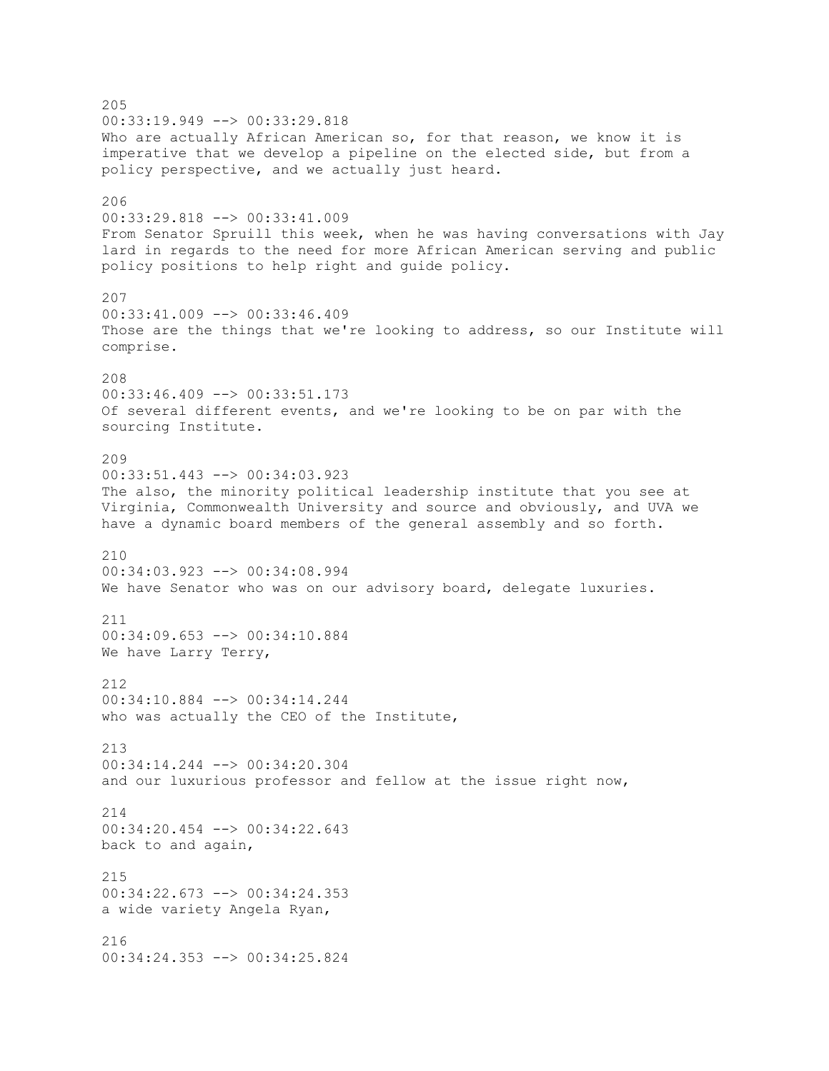205 00:33:19.949 --> 00:33:29.818 Who are actually African American so, for that reason, we know it is imperative that we develop a pipeline on the elected side, but from a policy perspective, and we actually just heard. 206 00:33:29.818 --> 00:33:41.009 From Senator Spruill this week, when he was having conversations with Jay lard in regards to the need for more African American serving and public policy positions to help right and guide policy. 207 00:33:41.009 --> 00:33:46.409 Those are the things that we're looking to address, so our Institute will comprise. 208 00:33:46.409 --> 00:33:51.173 Of several different events, and we're looking to be on par with the sourcing Institute. 209 00:33:51.443 --> 00:34:03.923 The also, the minority political leadership institute that you see at Virginia, Commonwealth University and source and obviously, and UVA we have a dynamic board members of the general assembly and so forth. 210 00:34:03.923 --> 00:34:08.994 We have Senator who was on our advisory board, delegate luxuries. 211 00:34:09.653 --> 00:34:10.884 We have Larry Terry, 212 00:34:10.884 --> 00:34:14.244 who was actually the CEO of the Institute, 213 00:34:14.244 --> 00:34:20.304 and our luxurious professor and fellow at the issue right now, 214 00:34:20.454 --> 00:34:22.643 back to and again, 215  $00:34:22.673$  -->  $00:34:24.353$ a wide variety Angela Ryan, 216 00:34:24.353 --> 00:34:25.824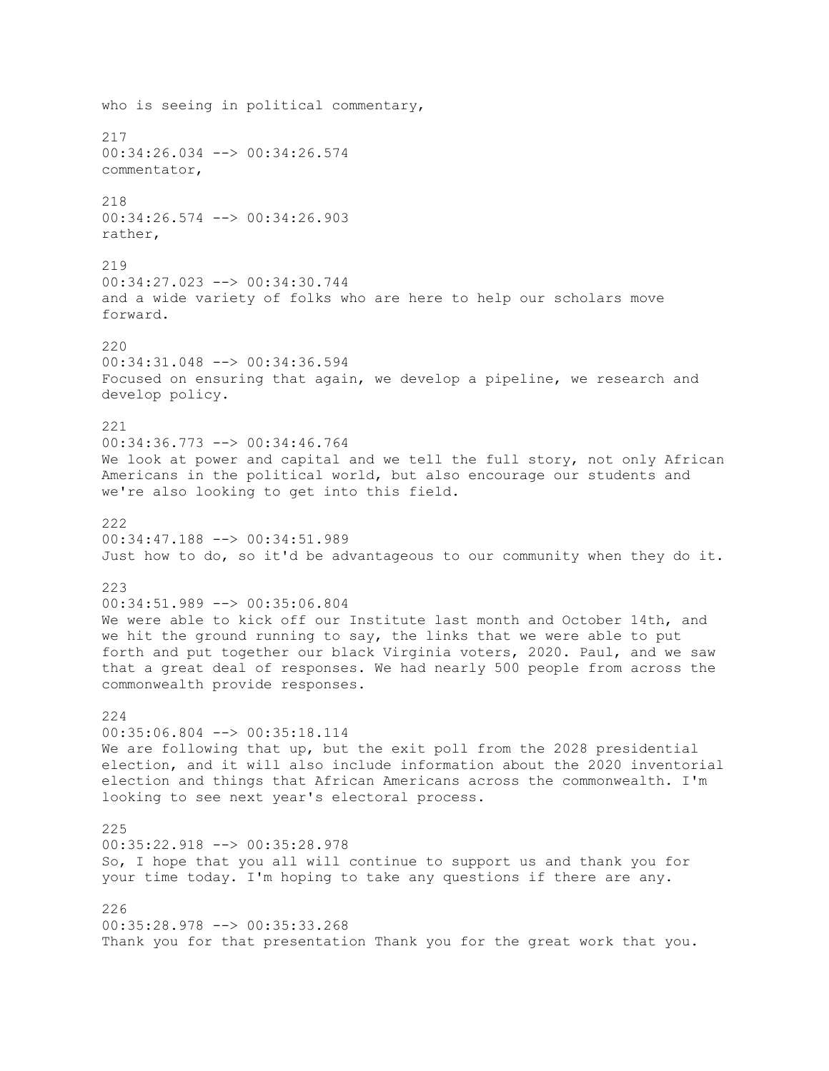who is seeing in political commentary, 217 00:34:26.034 --> 00:34:26.574 commentator, 218 00:34:26.574 --> 00:34:26.903 rather, 219 00:34:27.023 --> 00:34:30.744 and a wide variety of folks who are here to help our scholars move forward. 220 00:34:31.048 --> 00:34:36.594 Focused on ensuring that again, we develop a pipeline, we research and develop policy. 221 00:34:36.773 --> 00:34:46.764 We look at power and capital and we tell the full story, not only African Americans in the political world, but also encourage our students and we're also looking to get into this field. 222 00:34:47.188 --> 00:34:51.989 Just how to do, so it'd be advantageous to our community when they do it. 223 00:34:51.989 --> 00:35:06.804 We were able to kick off our Institute last month and October 14th, and we hit the ground running to say, the links that we were able to put forth and put together our black Virginia voters, 2020. Paul, and we saw that a great deal of responses. We had nearly 500 people from across the commonwealth provide responses. 224 00:35:06.804 --> 00:35:18.114 We are following that up, but the exit poll from the 2028 presidential election, and it will also include information about the 2020 inventorial election and things that African Americans across the commonwealth. I'm looking to see next year's electoral process. 225 00:35:22.918 --> 00:35:28.978 So, I hope that you all will continue to support us and thank you for your time today. I'm hoping to take any questions if there are any. 226 00:35:28.978 --> 00:35:33.268 Thank you for that presentation Thank you for the great work that you.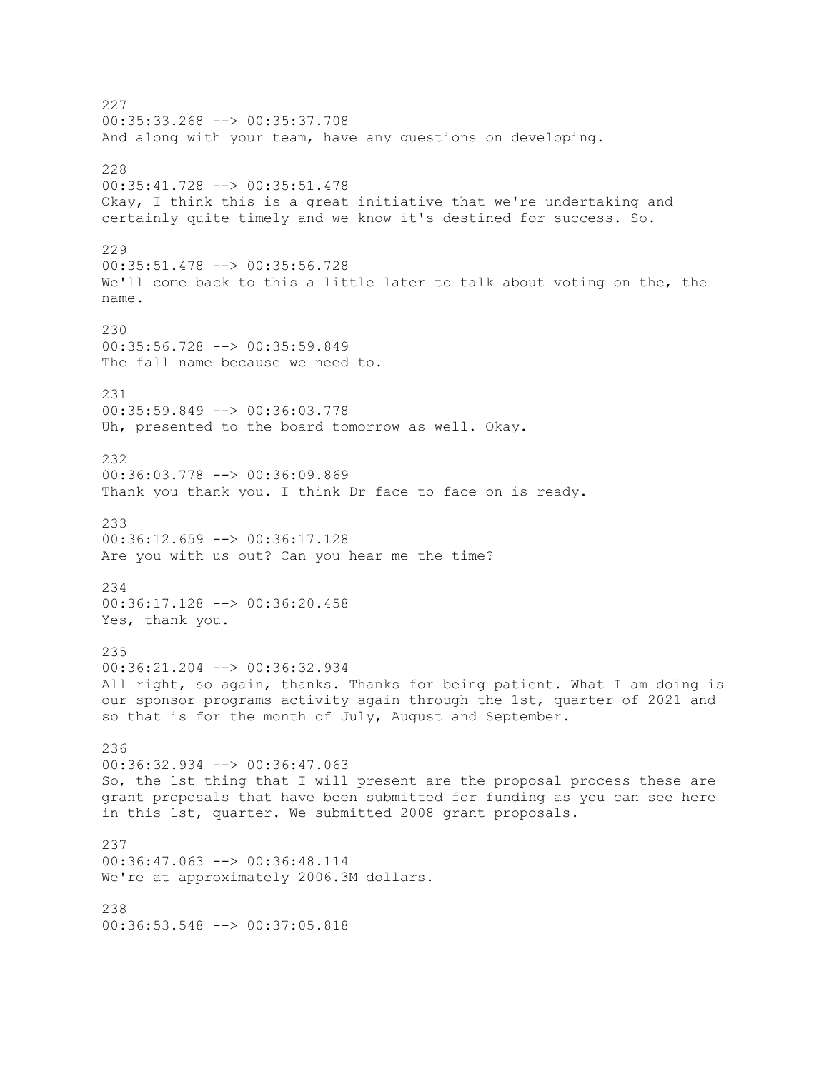227 00:35:33.268 --> 00:35:37.708 And along with your team, have any questions on developing. 228 00:35:41.728 --> 00:35:51.478 Okay, I think this is a great initiative that we're undertaking and certainly quite timely and we know it's destined for success. So. 229 00:35:51.478 --> 00:35:56.728 We'll come back to this a little later to talk about voting on the, the name. 230 00:35:56.728 --> 00:35:59.849 The fall name because we need to. 231 00:35:59.849 --> 00:36:03.778 Uh, presented to the board tomorrow as well. Okay. 232 00:36:03.778 --> 00:36:09.869 Thank you thank you. I think Dr face to face on is ready. 233 00:36:12.659 --> 00:36:17.128 Are you with us out? Can you hear me the time? 234 00:36:17.128 --> 00:36:20.458 Yes, thank you. 235 00:36:21.204 --> 00:36:32.934 All right, so again, thanks. Thanks for being patient. What I am doing is our sponsor programs activity again through the 1st, quarter of 2021 and so that is for the month of July, August and September. 236 00:36:32.934 --> 00:36:47.063 So, the 1st thing that I will present are the proposal process these are grant proposals that have been submitted for funding as you can see here in this 1st, quarter. We submitted 2008 grant proposals. 237 00:36:47.063 --> 00:36:48.114 We're at approximately 2006.3M dollars. 238 00:36:53.548 --> 00:37:05.818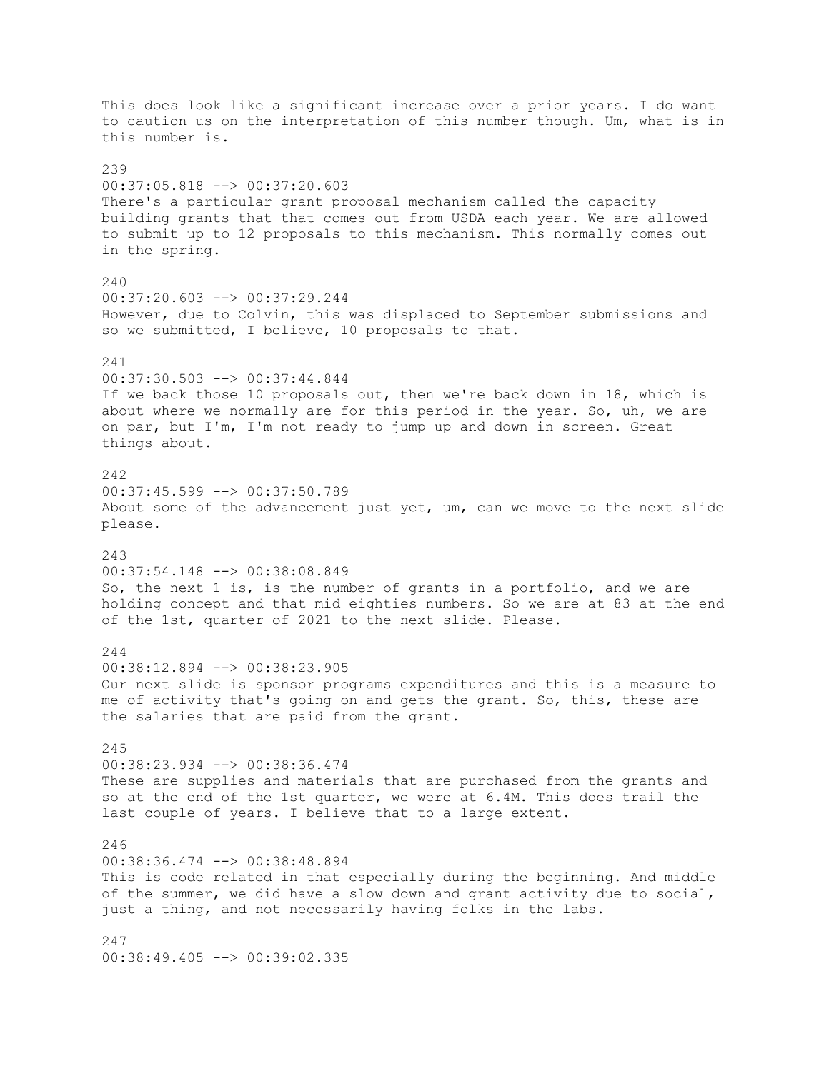This does look like a significant increase over a prior years. I do want to caution us on the interpretation of this number though. Um, what is in this number is.  $230$ 00:37:05.818 --> 00:37:20.603 There's a particular grant proposal mechanism called the capacity building grants that that comes out from USDA each year. We are allowed to submit up to 12 proposals to this mechanism. This normally comes out in the spring. 240 00:37:20.603 --> 00:37:29.244 However, due to Colvin, this was displaced to September submissions and so we submitted, I believe, 10 proposals to that. 241 00:37:30.503 --> 00:37:44.844 If we back those 10 proposals out, then we're back down in 18, which is about where we normally are for this period in the year. So, uh, we are on par, but I'm, I'm not ready to jump up and down in screen. Great things about. 242 00:37:45.599 --> 00:37:50.789 About some of the advancement just yet, um, can we move to the next slide please. 243 00:37:54.148 --> 00:38:08.849 So, the next 1 is, is the number of grants in a portfolio, and we are holding concept and that mid eighties numbers. So we are at 83 at the end of the 1st, quarter of 2021 to the next slide. Please. 244 00:38:12.894 --> 00:38:23.905 Our next slide is sponsor programs expenditures and this is a measure to me of activity that's going on and gets the grant. So, this, these are the salaries that are paid from the grant. 245 00:38:23.934 --> 00:38:36.474 These are supplies and materials that are purchased from the grants and so at the end of the 1st quarter, we were at 6.4M. This does trail the last couple of years. I believe that to a large extent. 246 00:38:36.474 --> 00:38:48.894 This is code related in that especially during the beginning. And middle of the summer, we did have a slow down and grant activity due to social, just a thing, and not necessarily having folks in the labs. 247

00:38:49.405 --> 00:39:02.335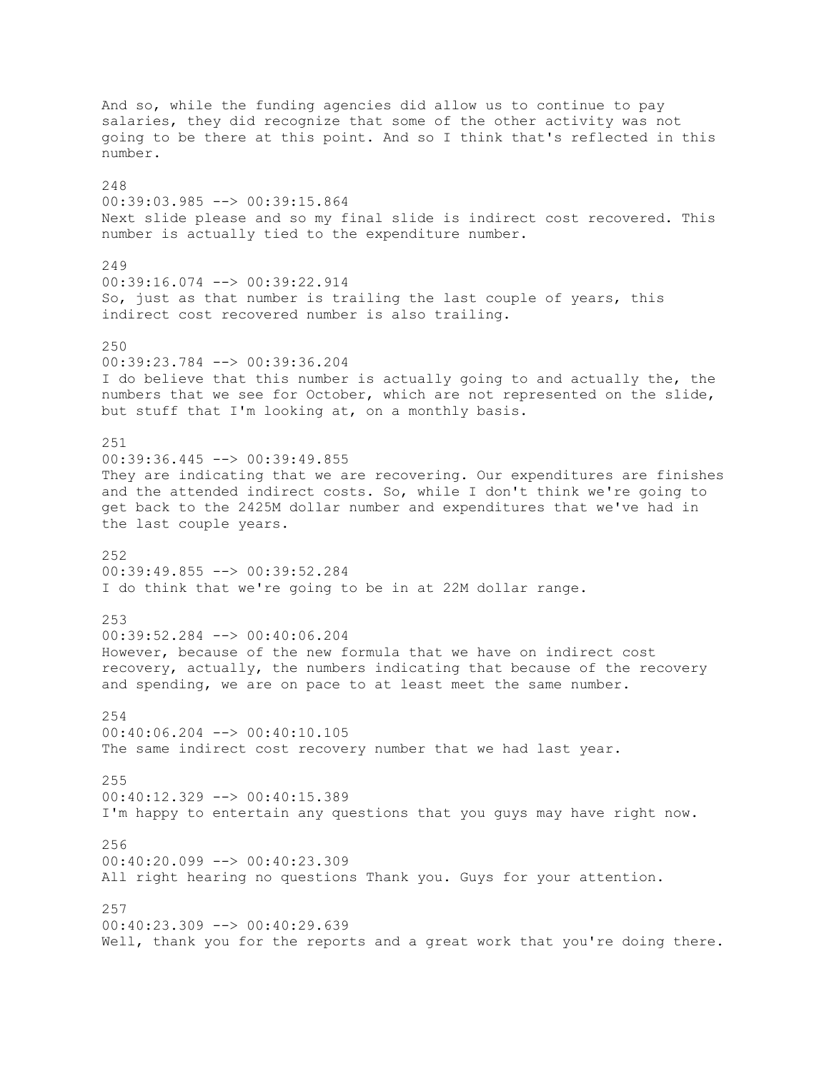And so, while the funding agencies did allow us to continue to pay salaries, they did recognize that some of the other activity was not going to be there at this point. And so I think that's reflected in this number. 248 00:39:03.985 --> 00:39:15.864 Next slide please and so my final slide is indirect cost recovered. This number is actually tied to the expenditure number. 249 00:39:16.074 --> 00:39:22.914 So, just as that number is trailing the last couple of years, this indirect cost recovered number is also trailing. 250 00:39:23.784 --> 00:39:36.204 I do believe that this number is actually going to and actually the, the numbers that we see for October, which are not represented on the slide, but stuff that I'm looking at, on a monthly basis. 251 00:39:36.445 --> 00:39:49.855 They are indicating that we are recovering. Our expenditures are finishes and the attended indirect costs. So, while I don't think we're going to get back to the 2425M dollar number and expenditures that we've had in the last couple years. 252 00:39:49.855 --> 00:39:52.284 I do think that we're going to be in at 22M dollar range. 253 00:39:52.284 --> 00:40:06.204 However, because of the new formula that we have on indirect cost recovery, actually, the numbers indicating that because of the recovery and spending, we are on pace to at least meet the same number. 254 00:40:06.204 --> 00:40:10.105 The same indirect cost recovery number that we had last year. 255 00:40:12.329 --> 00:40:15.389 I'm happy to entertain any questions that you guys may have right now. 256 00:40:20.099 --> 00:40:23.309 All right hearing no questions Thank you. Guys for your attention. 257  $00:40:23.309$  -->  $00:40:29.639$ Well, thank you for the reports and a great work that you're doing there.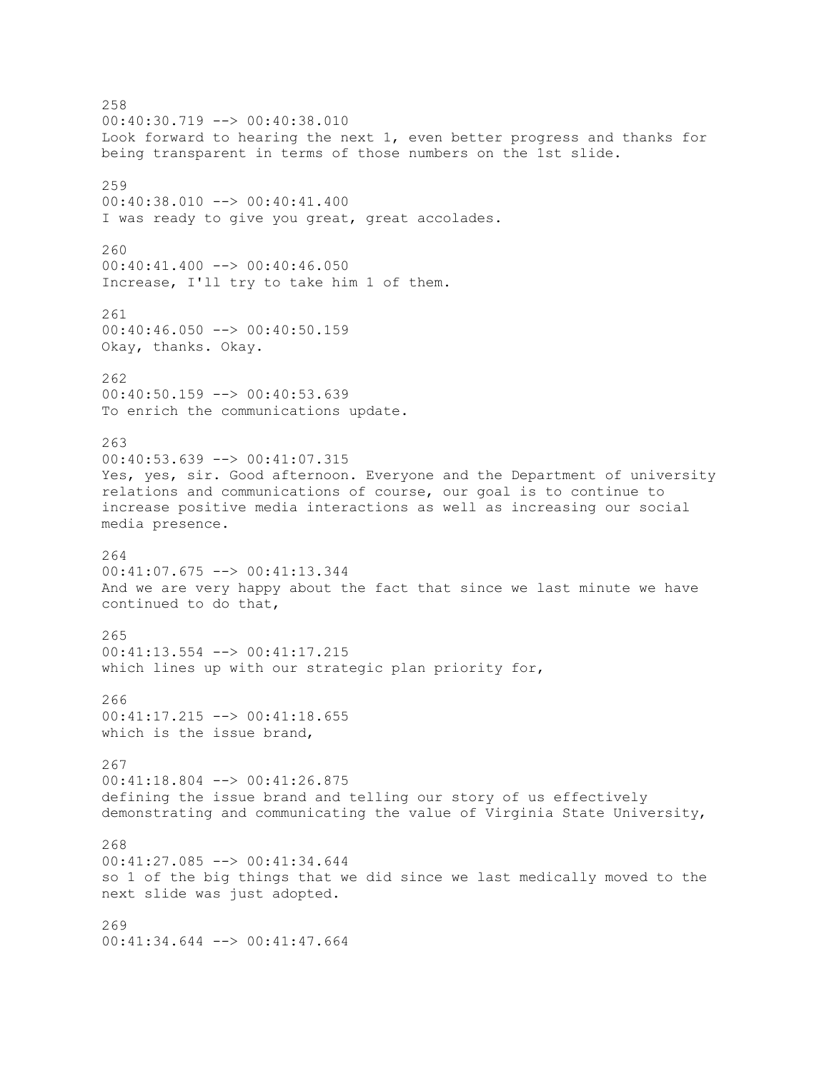258 00:40:30.719 --> 00:40:38.010 Look forward to hearing the next 1, even better progress and thanks for being transparent in terms of those numbers on the 1st slide. 259 00:40:38.010 --> 00:40:41.400 I was ready to give you great, great accolades. 260 00:40:41.400 --> 00:40:46.050 Increase, I'll try to take him 1 of them. 261 00:40:46.050 --> 00:40:50.159 Okay, thanks. Okay. 262 00:40:50.159 --> 00:40:53.639 To enrich the communications update. 263 00:40:53.639 --> 00:41:07.315 Yes, yes, sir. Good afternoon. Everyone and the Department of university relations and communications of course, our goal is to continue to increase positive media interactions as well as increasing our social media presence. 264 00:41:07.675 --> 00:41:13.344 And we are very happy about the fact that since we last minute we have continued to do that, 265 00:41:13.554 --> 00:41:17.215 which lines up with our strategic plan priority for, 266  $00:41:17.215$   $\leftarrow$   $>$  00:41:18.655 which is the issue brand, 267 00:41:18.804 --> 00:41:26.875 defining the issue brand and telling our story of us effectively demonstrating and communicating the value of Virginia State University, 268 00:41:27.085 --> 00:41:34.644 so 1 of the big things that we did since we last medically moved to the next slide was just adopted. 269 00:41:34.644 --> 00:41:47.664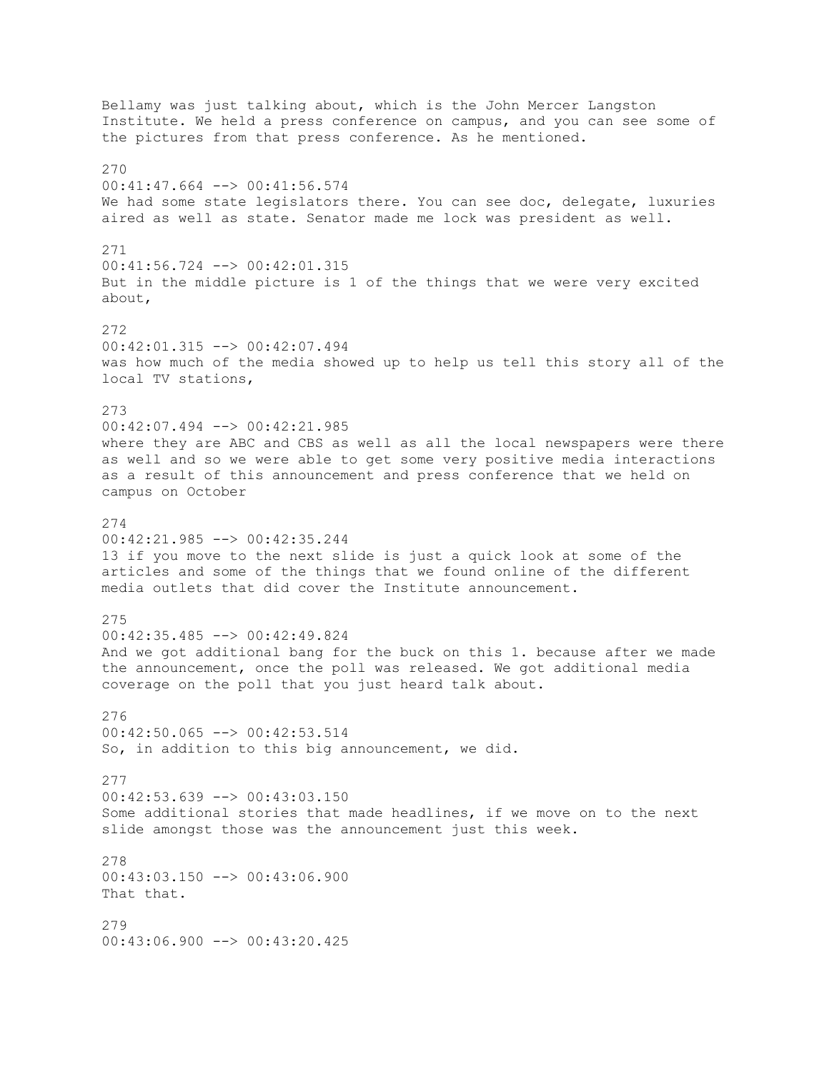Bellamy was just talking about, which is the John Mercer Langston Institute. We held a press conference on campus, and you can see some of the pictures from that press conference. As he mentioned. 270 00:41:47.664 --> 00:41:56.574 We had some state legislators there. You can see doc, delegate, luxuries aired as well as state. Senator made me lock was president as well. 271 00:41:56.724 --> 00:42:01.315 But in the middle picture is 1 of the things that we were very excited about, 272 00:42:01.315 --> 00:42:07.494 was how much of the media showed up to help us tell this story all of the local TV stations, 273 00:42:07.494 --> 00:42:21.985 where they are ABC and CBS as well as all the local newspapers were there as well and so we were able to get some very positive media interactions as a result of this announcement and press conference that we held on campus on October 274 00:42:21.985 --> 00:42:35.244 13 if you move to the next slide is just a quick look at some of the articles and some of the things that we found online of the different media outlets that did cover the Institute announcement. 275  $00:42:35.485$   $\longrightarrow$   $00:42:49.824$ And we got additional bang for the buck on this 1. because after we made the announcement, once the poll was released. We got additional media coverage on the poll that you just heard talk about. 276 00:42:50.065 --> 00:42:53.514 So, in addition to this big announcement, we did. 277 00:42:53.639 --> 00:43:03.150 Some additional stories that made headlines, if we move on to the next slide amongst those was the announcement just this week. 278 00:43:03.150 --> 00:43:06.900 That that. 279 00:43:06.900 --> 00:43:20.425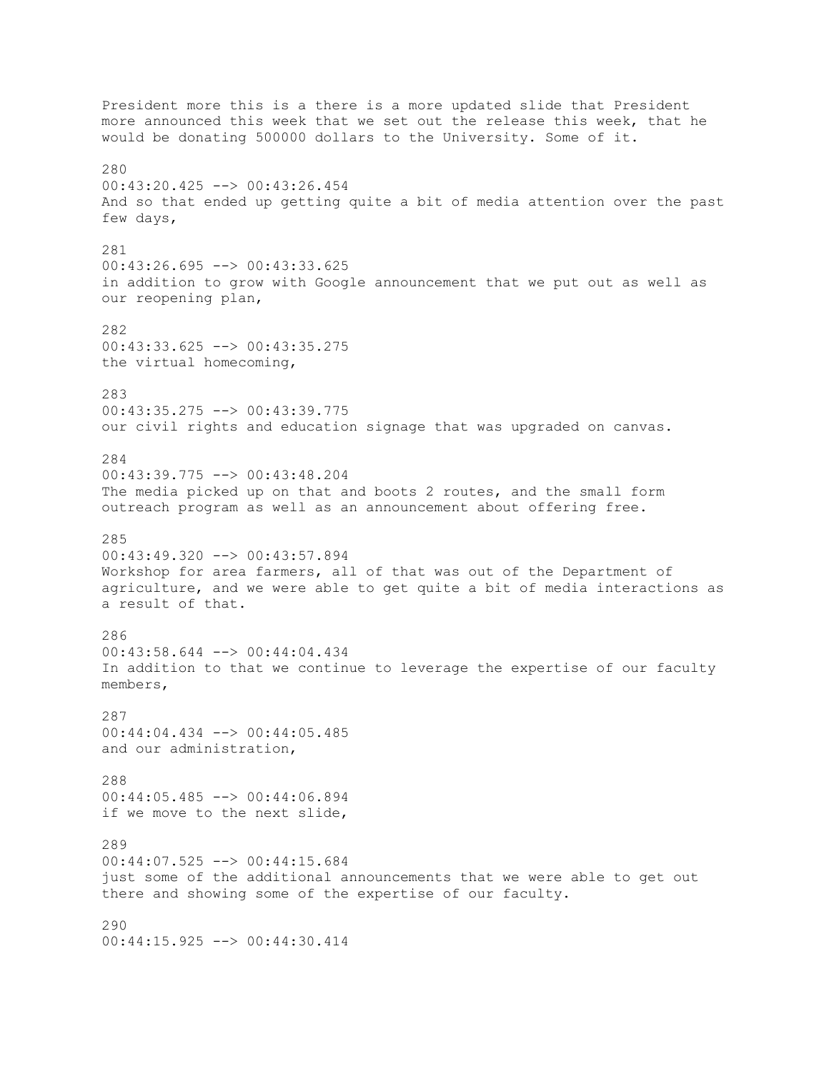President more this is a there is a more updated slide that President more announced this week that we set out the release this week, that he would be donating 500000 dollars to the University. Some of it. 280 00:43:20.425 --> 00:43:26.454 And so that ended up getting quite a bit of media attention over the past few days, 281 00:43:26.695 --> 00:43:33.625 in addition to grow with Google announcement that we put out as well as our reopening plan, 282 00:43:33.625 --> 00:43:35.275 the virtual homecoming, 283 00:43:35.275 --> 00:43:39.775 our civil rights and education signage that was upgraded on canvas. 284 00:43:39.775 --> 00:43:48.204 The media picked up on that and boots 2 routes, and the small form outreach program as well as an announcement about offering free. 285 00:43:49.320 --> 00:43:57.894 Workshop for area farmers, all of that was out of the Department of agriculture, and we were able to get quite a bit of media interactions as a result of that. 286 00:43:58.644 --> 00:44:04.434 In addition to that we continue to leverage the expertise of our faculty members, 287 00:44:04.434 --> 00:44:05.485 and our administration, 288 00:44:05.485 --> 00:44:06.894 if we move to the next slide, 289 00:44:07.525 --> 00:44:15.684 just some of the additional announcements that we were able to get out there and showing some of the expertise of our faculty. 290 00:44:15.925 --> 00:44:30.414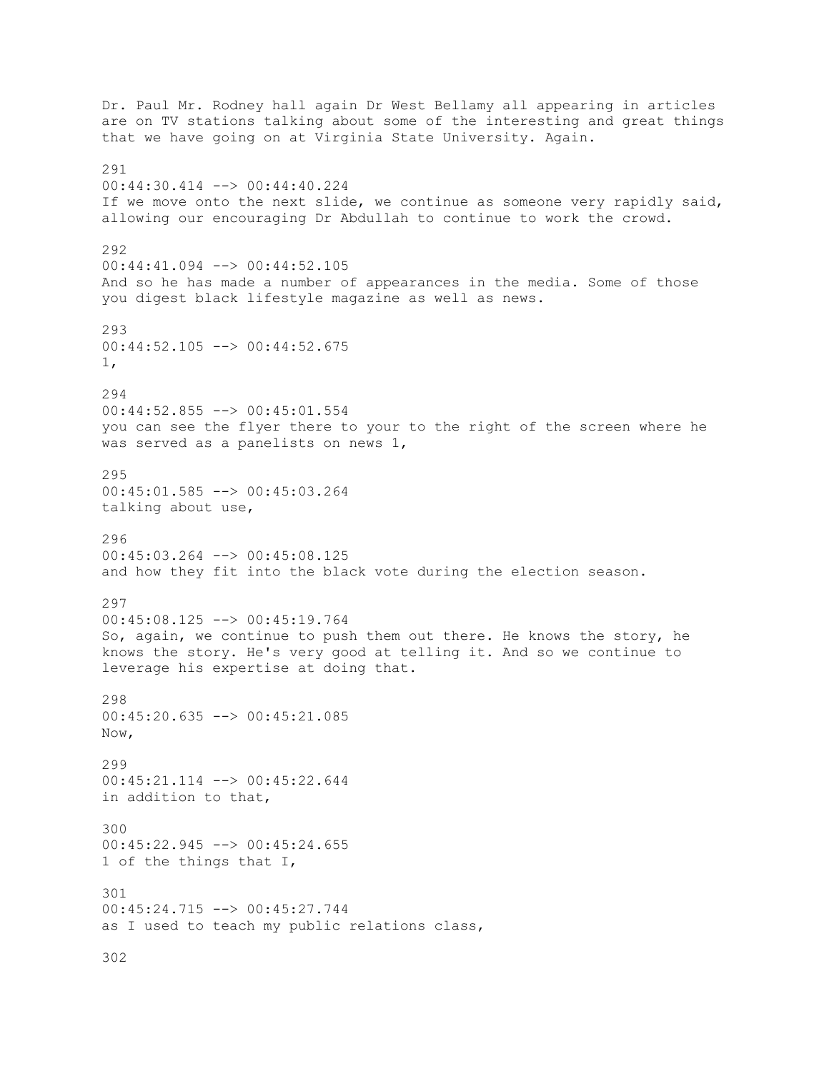Dr. Paul Mr. Rodney hall again Dr West Bellamy all appearing in articles are on TV stations talking about some of the interesting and great things that we have going on at Virginia State University. Again. 291 00:44:30.414 --> 00:44:40.224 If we move onto the next slide, we continue as someone very rapidly said, allowing our encouraging Dr Abdullah to continue to work the crowd. 292 00:44:41.094 --> 00:44:52.105 And so he has made a number of appearances in the media. Some of those you digest black lifestyle magazine as well as news. 293 00:44:52.105 --> 00:44:52.675 1, 294 00:44:52.855 --> 00:45:01.554 you can see the flyer there to your to the right of the screen where he was served as a panelists on news 1, 295 00:45:01.585 --> 00:45:03.264 talking about use, 296 00:45:03.264 --> 00:45:08.125 and how they fit into the black vote during the election season. 297 00:45:08.125 --> 00:45:19.764 So, again, we continue to push them out there. He knows the story, he knows the story. He's very good at telling it. And so we continue to leverage his expertise at doing that. 298 00:45:20.635 --> 00:45:21.085 Now, 299 00:45:21.114 --> 00:45:22.644 in addition to that, 300 00:45:22.945 --> 00:45:24.655 1 of the things that I, 301 00:45:24.715 --> 00:45:27.744 as I used to teach my public relations class, 302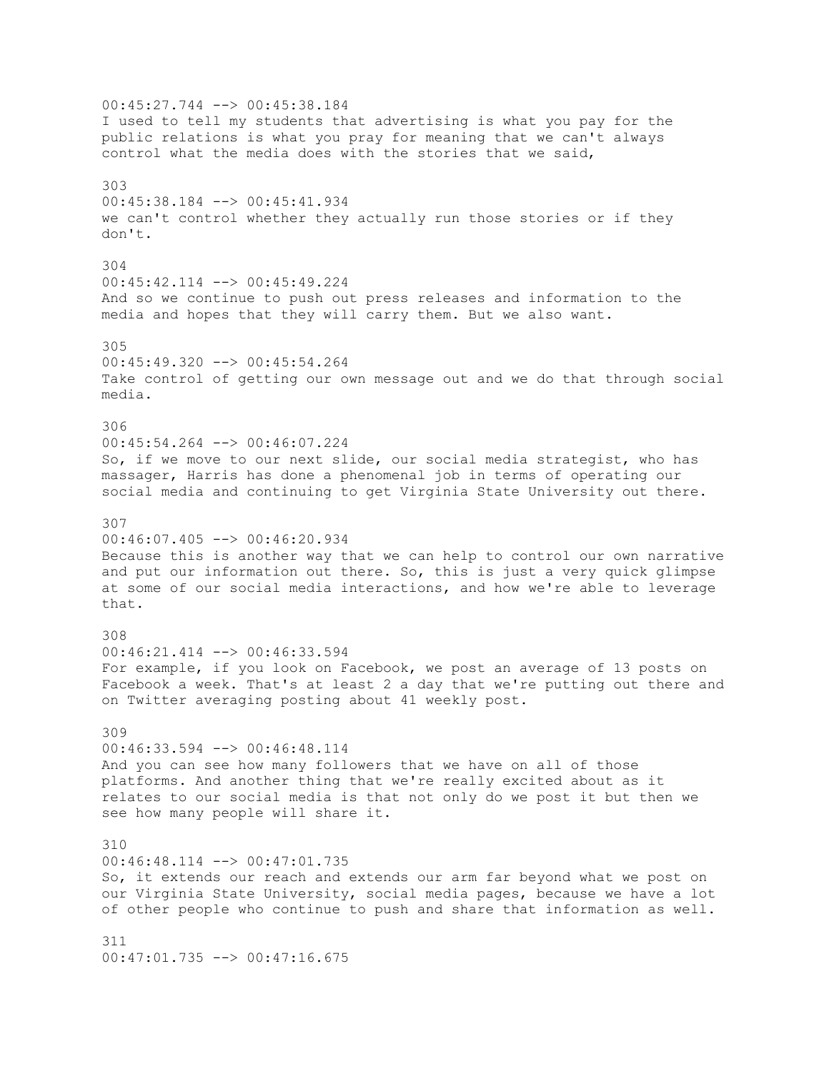00:45:27.744 --> 00:45:38.184 I used to tell my students that advertising is what you pay for the public relations is what you pray for meaning that we can't always control what the media does with the stories that we said, 303 00:45:38.184 --> 00:45:41.934 we can't control whether they actually run those stories or if they don't. 304 00:45:42.114 --> 00:45:49.224 And so we continue to push out press releases and information to the media and hopes that they will carry them. But we also want. 305 00:45:49.320 --> 00:45:54.264 Take control of getting our own message out and we do that through social media. 306 00:45:54.264 --> 00:46:07.224 So, if we move to our next slide, our social media strategist, who has massager, Harris has done a phenomenal job in terms of operating our social media and continuing to get Virginia State University out there. 307 00:46:07.405 --> 00:46:20.934 Because this is another way that we can help to control our own narrative and put our information out there. So, this is just a very quick glimpse at some of our social media interactions, and how we're able to leverage that. 308 00:46:21.414 --> 00:46:33.594 For example, if you look on Facebook, we post an average of 13 posts on Facebook a week. That's at least 2 a day that we're putting out there and on Twitter averaging posting about 41 weekly post. 309 00:46:33.594 --> 00:46:48.114 And you can see how many followers that we have on all of those platforms. And another thing that we're really excited about as it relates to our social media is that not only do we post it but then we see how many people will share it. 310 00:46:48.114 --> 00:47:01.735 So, it extends our reach and extends our arm far beyond what we post on our Virginia State University, social media pages, because we have a lot of other people who continue to push and share that information as well. 311 00:47:01.735 --> 00:47:16.675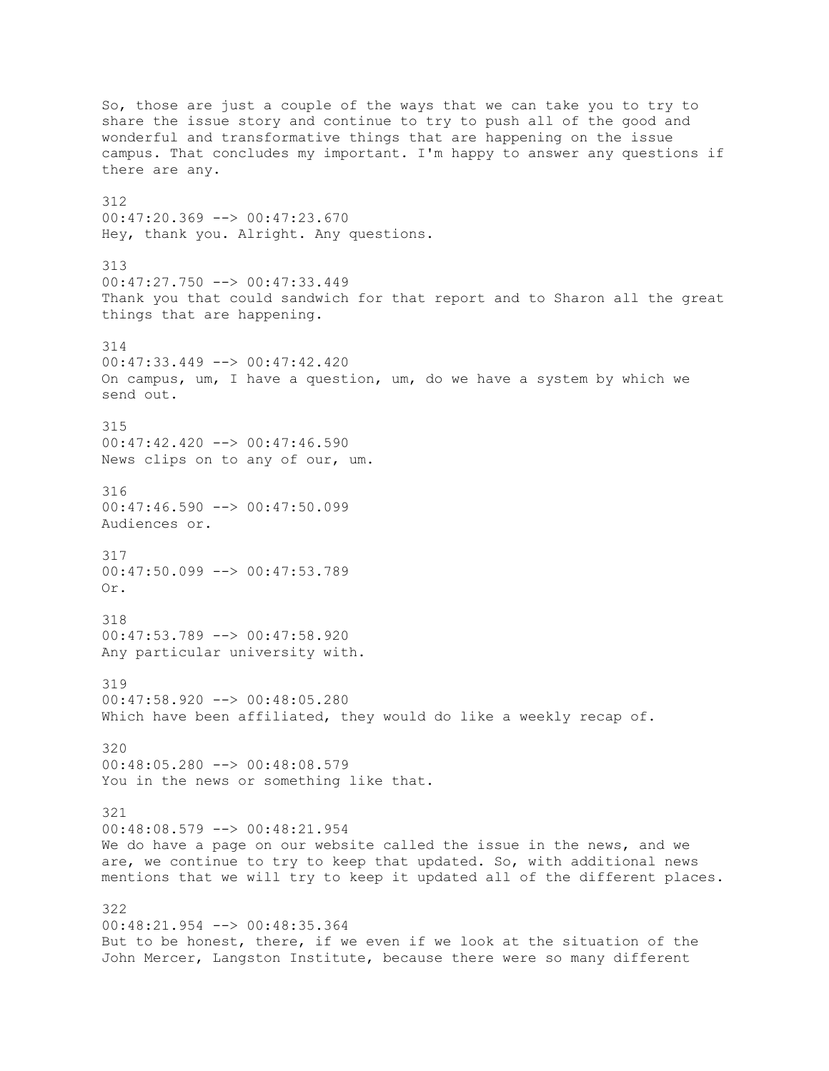So, those are just a couple of the ways that we can take you to try to share the issue story and continue to try to push all of the good and wonderful and transformative things that are happening on the issue campus. That concludes my important. I'm happy to answer any questions if there are any. 312 00:47:20.369 --> 00:47:23.670 Hey, thank you. Alright. Any questions. 313 00:47:27.750 --> 00:47:33.449 Thank you that could sandwich for that report and to Sharon all the great things that are happening. 314 00:47:33.449 --> 00:47:42.420 On campus, um, I have a question, um, do we have a system by which we send out. 315  $00:47:42.420$  -->  $00:47:46.590$ News clips on to any of our, um. 316 00:47:46.590 --> 00:47:50.099 Audiences or. 317 00:47:50.099 --> 00:47:53.789 Or. 318  $00:47:53.789$  -->  $00:47:58.920$ Any particular university with. 319 00:47:58.920 --> 00:48:05.280 Which have been affiliated, they would do like a weekly recap of. 320 00:48:05.280 --> 00:48:08.579 You in the news or something like that. 321 00:48:08.579 --> 00:48:21.954 We do have a page on our website called the issue in the news, and we are, we continue to try to keep that updated. So, with additional news mentions that we will try to keep it updated all of the different places. 322 00:48:21.954 --> 00:48:35.364 But to be honest, there, if we even if we look at the situation of the John Mercer, Langston Institute, because there were so many different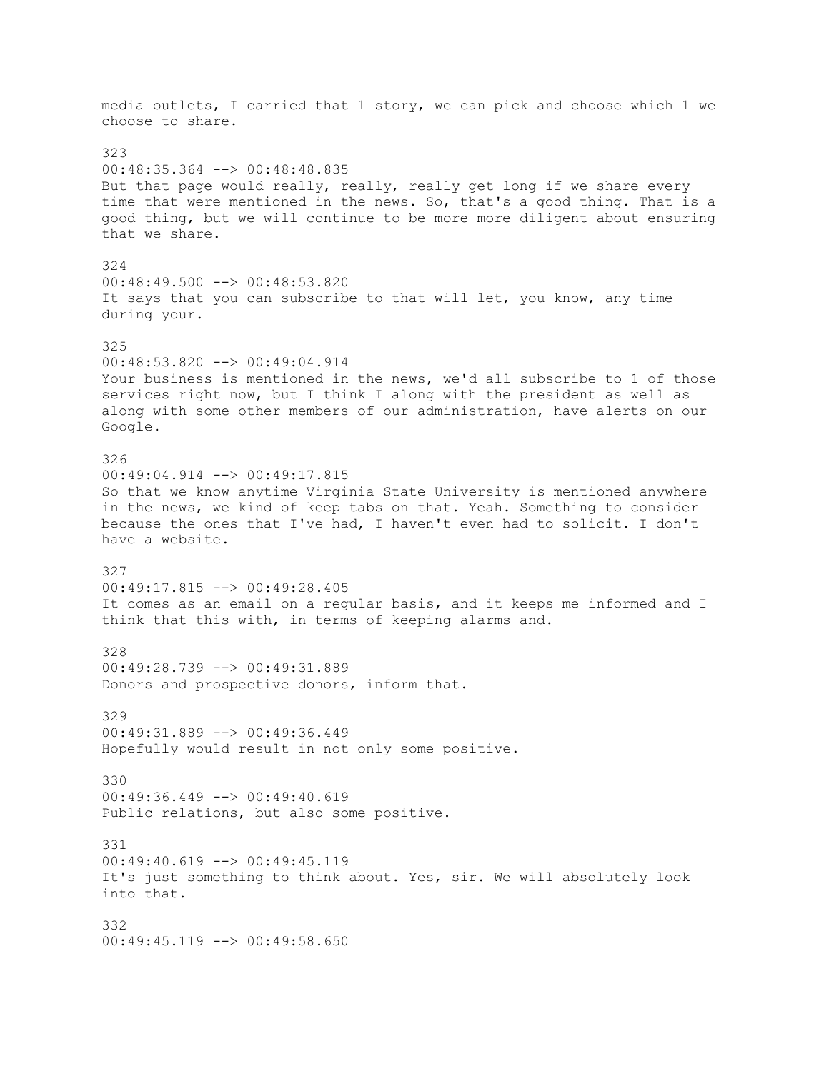media outlets, I carried that 1 story, we can pick and choose which 1 we choose to share. 323 00:48:35.364 --> 00:48:48.835 But that page would really, really, really get long if we share every time that were mentioned in the news. So, that's a good thing. That is a good thing, but we will continue to be more more diligent about ensuring that we share. 324 00:48:49.500 --> 00:48:53.820 It says that you can subscribe to that will let, you know, any time during your. 325 00:48:53.820 --> 00:49:04.914 Your business is mentioned in the news, we'd all subscribe to 1 of those services right now, but I think I along with the president as well as along with some other members of our administration, have alerts on our Google. 326 00:49:04.914 --> 00:49:17.815 So that we know anytime Virginia State University is mentioned anywhere in the news, we kind of keep tabs on that. Yeah. Something to consider because the ones that I've had, I haven't even had to solicit. I don't have a website. 327 00:49:17.815 --> 00:49:28.405 It comes as an email on a regular basis, and it keeps me informed and I think that this with, in terms of keeping alarms and. 328 00:49:28.739 --> 00:49:31.889 Donors and prospective donors, inform that. 329 00:49:31.889 --> 00:49:36.449 Hopefully would result in not only some positive. 330 00:49:36.449 --> 00:49:40.619 Public relations, but also some positive. 331 00:49:40.619 --> 00:49:45.119 It's just something to think about. Yes, sir. We will absolutely look into that. 332 00:49:45.119 --> 00:49:58.650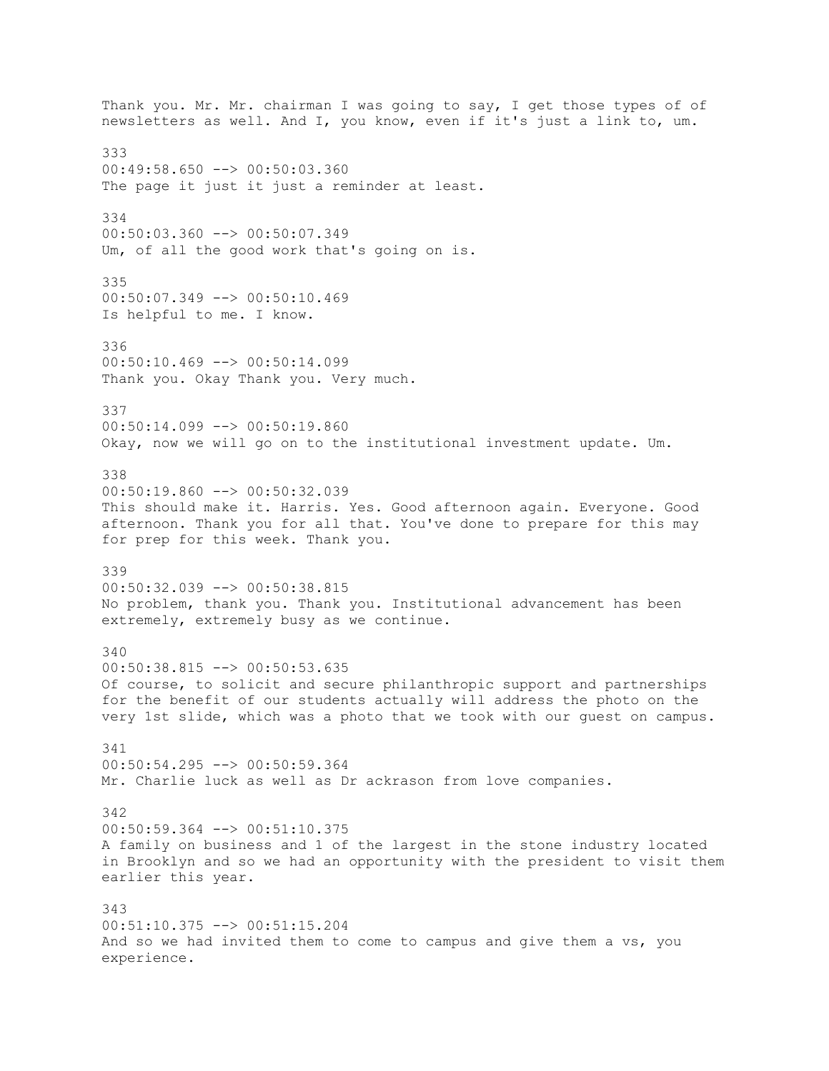Thank you. Mr. Mr. chairman I was going to say, I get those types of of newsletters as well. And I, you know, even if it's just a link to, um. 333 00:49:58.650 --> 00:50:03.360 The page it just it just a reminder at least. 334 00:50:03.360 --> 00:50:07.349 Um, of all the good work that's going on is. 335 00:50:07.349 --> 00:50:10.469 Is helpful to me. I know. 336 00:50:10.469 --> 00:50:14.099 Thank you. Okay Thank you. Very much. 337 00:50:14.099 --> 00:50:19.860 Okay, now we will go on to the institutional investment update. Um. 338 00:50:19.860 --> 00:50:32.039 This should make it. Harris. Yes. Good afternoon again. Everyone. Good afternoon. Thank you for all that. You've done to prepare for this may for prep for this week. Thank you. 339 00:50:32.039 --> 00:50:38.815 No problem, thank you. Thank you. Institutional advancement has been extremely, extremely busy as we continue. 340 00:50:38.815 --> 00:50:53.635 Of course, to solicit and secure philanthropic support and partnerships for the benefit of our students actually will address the photo on the very 1st slide, which was a photo that we took with our guest on campus. 341 00:50:54.295 --> 00:50:59.364 Mr. Charlie luck as well as Dr ackrason from love companies. 342 00:50:59.364 --> 00:51:10.375 A family on business and 1 of the largest in the stone industry located in Brooklyn and so we had an opportunity with the president to visit them earlier this year. 343 00:51:10.375 --> 00:51:15.204 And so we had invited them to come to campus and give them a vs, you experience.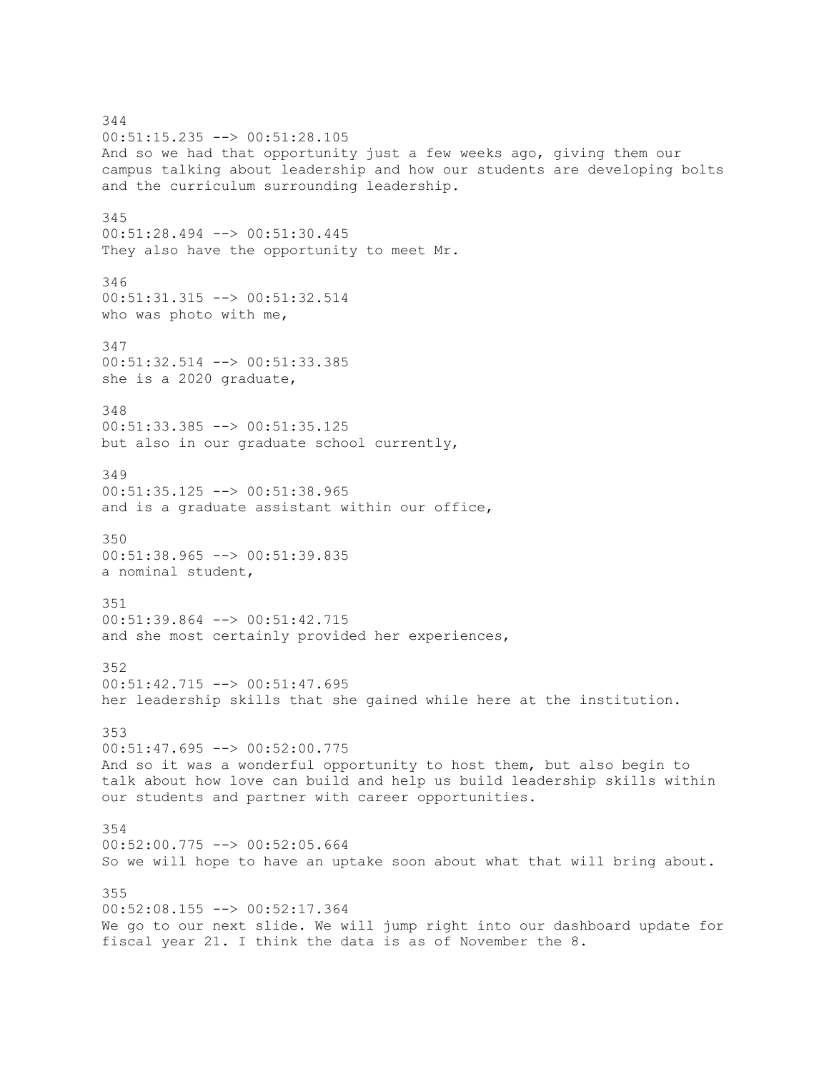344 00:51:15.235 --> 00:51:28.105 And so we had that opportunity just a few weeks ago, giving them our campus talking about leadership and how our students are developing bolts and the curriculum surrounding leadership. 345 00:51:28.494 --> 00:51:30.445 They also have the opportunity to meet Mr. 346 00:51:31.315 --> 00:51:32.514 who was photo with me, 347 00:51:32.514 --> 00:51:33.385 she is a 2020 graduate, 348 00:51:33.385 --> 00:51:35.125 but also in our graduate school currently, 349 00:51:35.125 --> 00:51:38.965 and is a graduate assistant within our office, 350 00:51:38.965 --> 00:51:39.835 a nominal student, 351 00:51:39.864 --> 00:51:42.715 and she most certainly provided her experiences, 352 00:51:42.715 --> 00:51:47.695 her leadership skills that she gained while here at the institution. 353 00:51:47.695 --> 00:52:00.775 And so it was a wonderful opportunity to host them, but also begin to talk about how love can build and help us build leadership skills within our students and partner with career opportunities. 354 00:52:00.775 --> 00:52:05.664 So we will hope to have an uptake soon about what that will bring about. 355 00:52:08.155 --> 00:52:17.364 We go to our next slide. We will jump right into our dashboard update for fiscal year 21. I think the data is as of November the 8.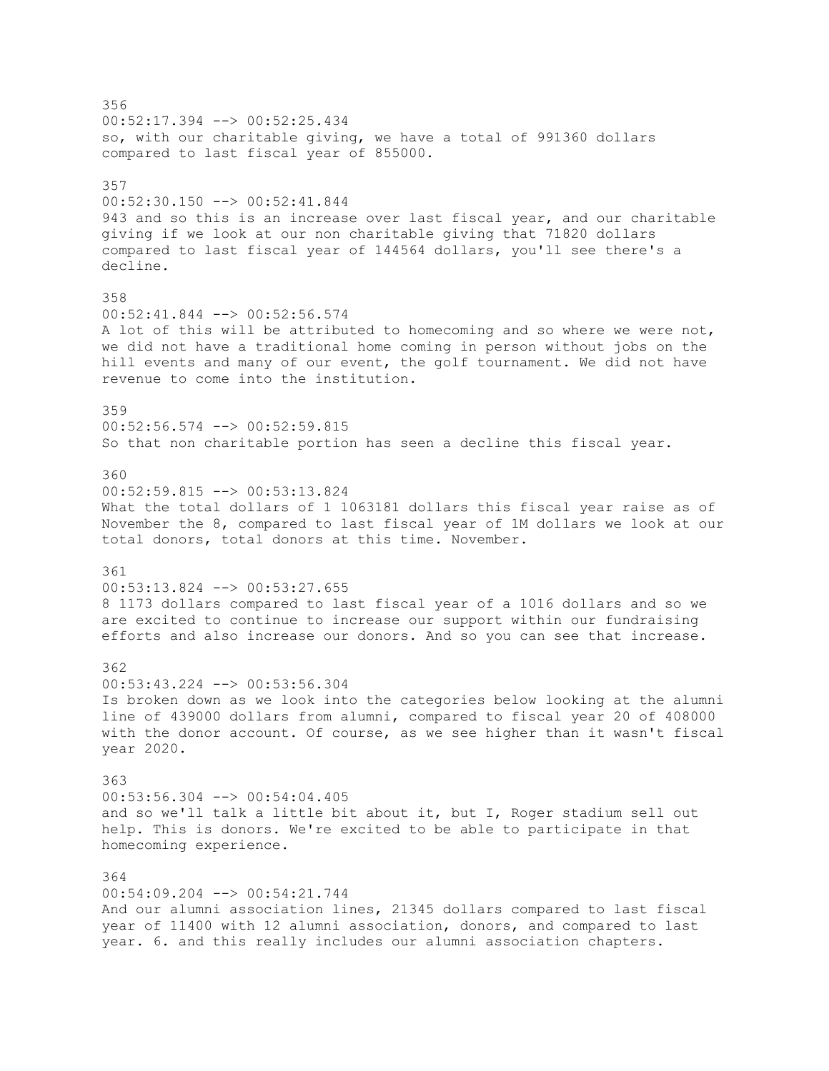356 00:52:17.394 --> 00:52:25.434 so, with our charitable giving, we have a total of 991360 dollars compared to last fiscal year of 855000. 357 00:52:30.150 --> 00:52:41.844 943 and so this is an increase over last fiscal year, and our charitable giving if we look at our non charitable giving that 71820 dollars compared to last fiscal year of 144564 dollars, you'll see there's a decline. 358 00:52:41.844 --> 00:52:56.574 A lot of this will be attributed to homecoming and so where we were not, we did not have a traditional home coming in person without jobs on the hill events and many of our event, the golf tournament. We did not have revenue to come into the institution. 359 00:52:56.574 --> 00:52:59.815 So that non charitable portion has seen a decline this fiscal year. 360 00:52:59.815 --> 00:53:13.824 What the total dollars of 1 1063181 dollars this fiscal year raise as of November the 8, compared to last fiscal year of 1M dollars we look at our total donors, total donors at this time. November. 361 00:53:13.824 --> 00:53:27.655 8 1173 dollars compared to last fiscal year of a 1016 dollars and so we are excited to continue to increase our support within our fundraising efforts and also increase our donors. And so you can see that increase. 362 00:53:43.224 --> 00:53:56.304 Is broken down as we look into the categories below looking at the alumni line of 439000 dollars from alumni, compared to fiscal year 20 of 408000 with the donor account. Of course, as we see higher than it wasn't fiscal year 2020. 363 00:53:56.304 --> 00:54:04.405 and so we'll talk a little bit about it, but I, Roger stadium sell out help. This is donors. We're excited to be able to participate in that homecoming experience. 364 00:54:09.204 --> 00:54:21.744 And our alumni association lines, 21345 dollars compared to last fiscal year of 11400 with 12 alumni association, donors, and compared to last year. 6. and this really includes our alumni association chapters.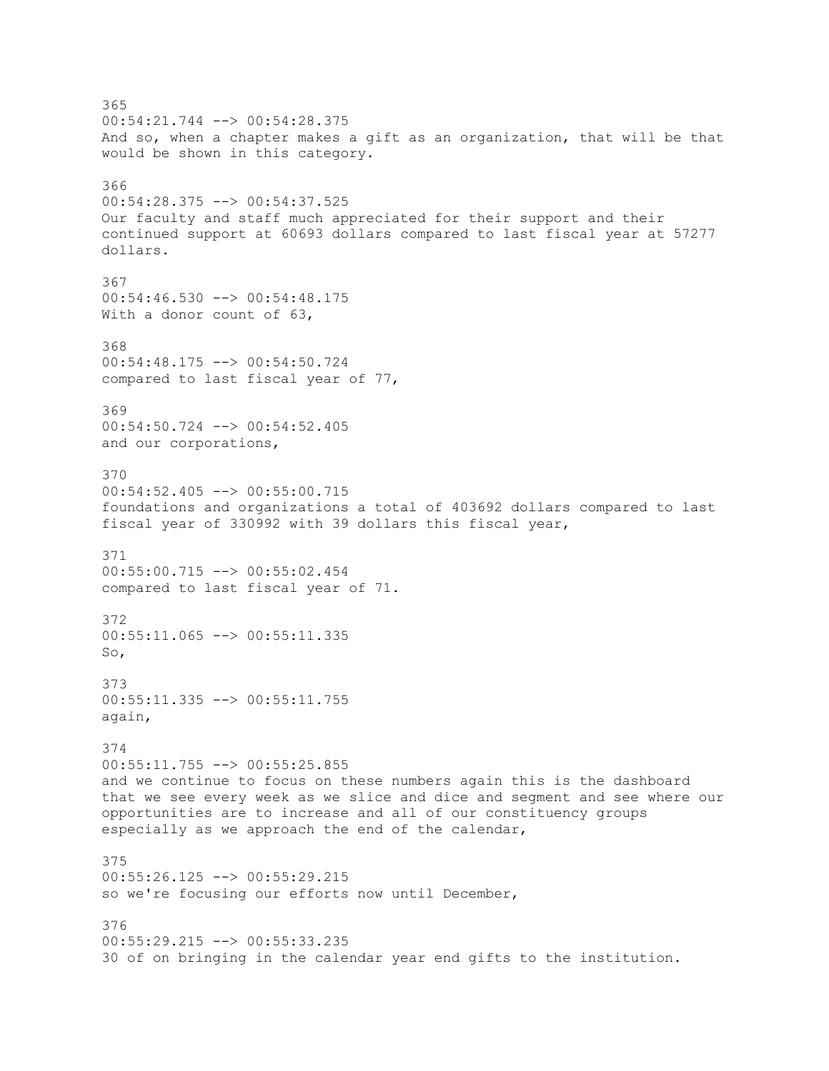365 00:54:21.744 --> 00:54:28.375 And so, when a chapter makes a gift as an organization, that will be that would be shown in this category. 366 00:54:28.375 --> 00:54:37.525 Our faculty and staff much appreciated for their support and their continued support at 60693 dollars compared to last fiscal year at 57277 dollars. 367  $00:54:46.530$  -->  $00:54:48.175$ With a donor count of 63, 368 00:54:48.175 --> 00:54:50.724 compared to last fiscal year of 77, 369 00:54:50.724 --> 00:54:52.405 and our corporations, 370 00:54:52.405 --> 00:55:00.715 foundations and organizations a total of 403692 dollars compared to last fiscal year of 330992 with 39 dollars this fiscal year, 371 00:55:00.715 --> 00:55:02.454 compared to last fiscal year of 71. 372  $00:55:11.065$  -->  $00:55:11.335$ So, 373 00:55:11.335 --> 00:55:11.755 again, 374 00:55:11.755 --> 00:55:25.855 and we continue to focus on these numbers again this is the dashboard that we see every week as we slice and dice and segment and see where our opportunities are to increase and all of our constituency groups especially as we approach the end of the calendar, 375 00:55:26.125 --> 00:55:29.215 so we're focusing our efforts now until December, 376 00:55:29.215 --> 00:55:33.235 30 of on bringing in the calendar year end gifts to the institution.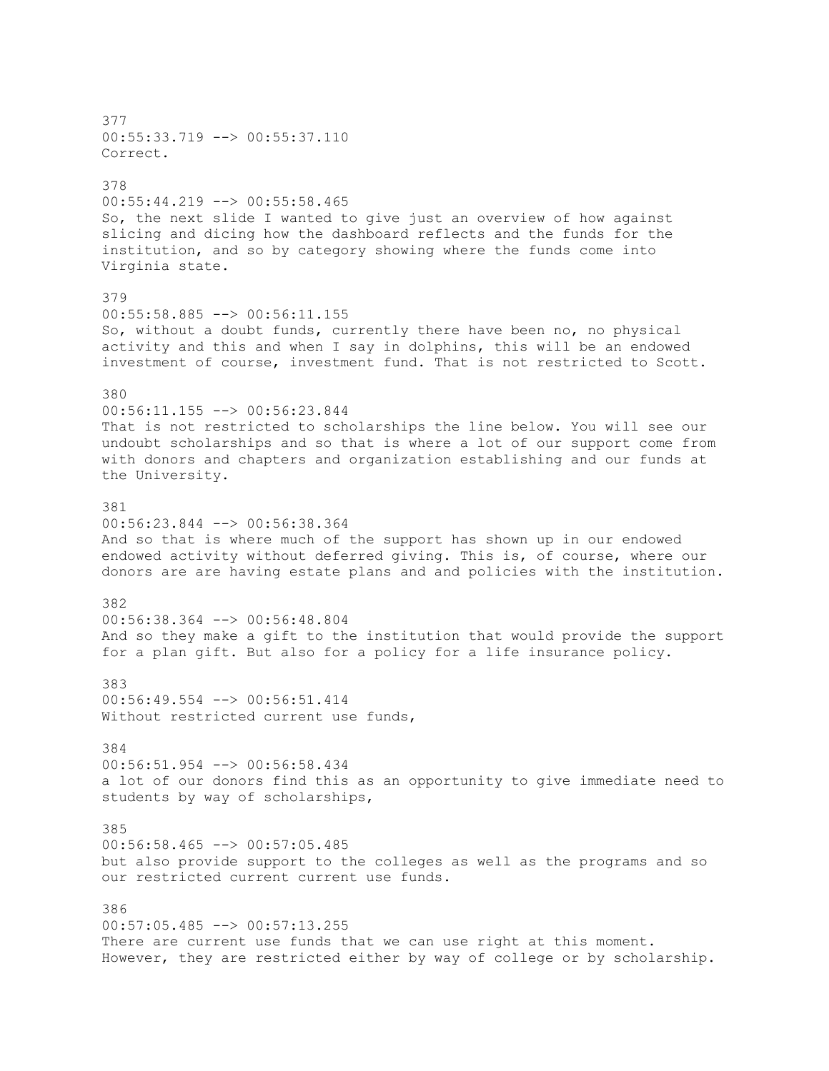377 00:55:33.719 --> 00:55:37.110 Correct. 378 00:55:44.219 --> 00:55:58.465 So, the next slide I wanted to give just an overview of how against slicing and dicing how the dashboard reflects and the funds for the institution, and so by category showing where the funds come into Virginia state. 379 00:55:58.885 --> 00:56:11.155 So, without a doubt funds, currently there have been no, no physical activity and this and when I say in dolphins, this will be an endowed investment of course, investment fund. That is not restricted to Scott. 380 00:56:11.155 --> 00:56:23.844 That is not restricted to scholarships the line below. You will see our undoubt scholarships and so that is where a lot of our support come from with donors and chapters and organization establishing and our funds at the University. 381 00:56:23.844 --> 00:56:38.364 And so that is where much of the support has shown up in our endowed endowed activity without deferred giving. This is, of course, where our donors are are having estate plans and and policies with the institution. 382 00:56:38.364 --> 00:56:48.804 And so they make a gift to the institution that would provide the support for a plan gift. But also for a policy for a life insurance policy. 383 00:56:49.554 --> 00:56:51.414 Without restricted current use funds, 384 00:56:51.954 --> 00:56:58.434 a lot of our donors find this as an opportunity to give immediate need to students by way of scholarships, 385 00:56:58.465 --> 00:57:05.485 but also provide support to the colleges as well as the programs and so our restricted current current use funds. 386 00:57:05.485 --> 00:57:13.255 There are current use funds that we can use right at this moment. However, they are restricted either by way of college or by scholarship.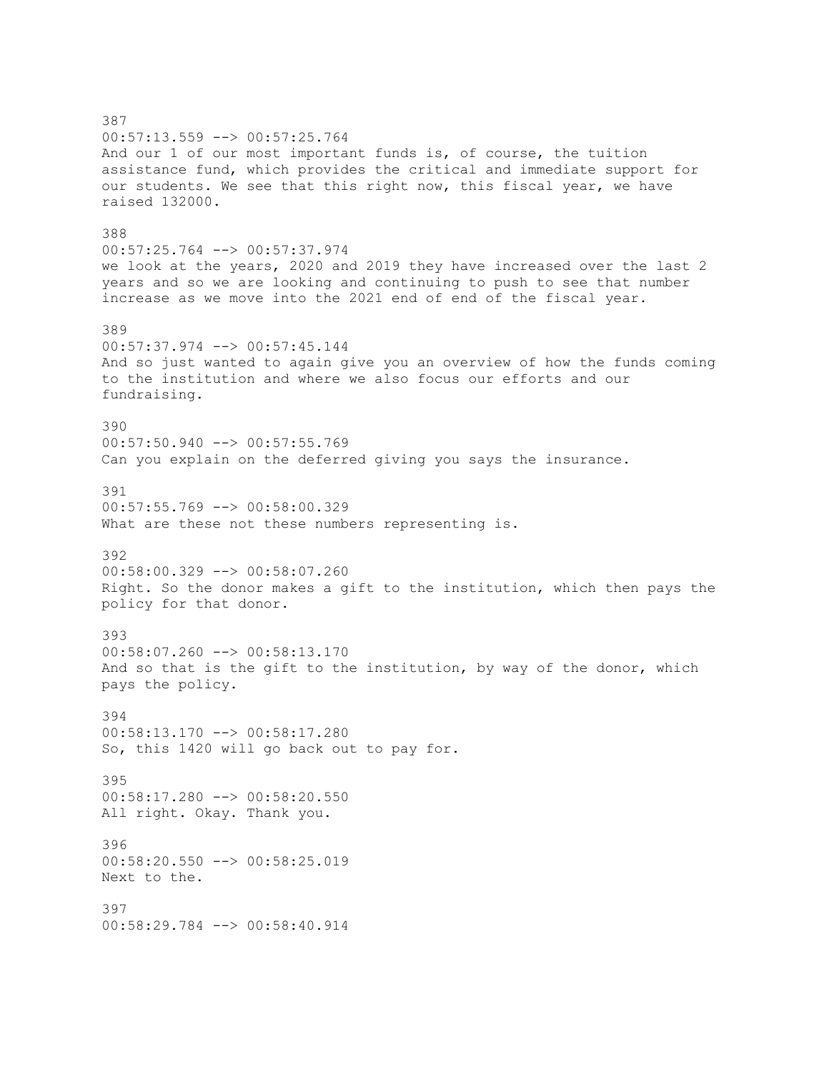387 00:57:13.559 --> 00:57:25.764 And our 1 of our most important funds is, of course, the tuition assistance fund, which provides the critical and immediate support for our students. We see that this right now, this fiscal year, we have raised 132000. 388 00:57:25.764 --> 00:57:37.974 we look at the years, 2020 and 2019 they have increased over the last 2 years and so we are looking and continuing to push to see that number increase as we move into the 2021 end of end of the fiscal year. 389 00:57:37.974 --> 00:57:45.144 And so just wanted to again give you an overview of how the funds coming to the institution and where we also focus our efforts and our fundraising. 390  $00:57:50.940$   $\longrightarrow$   $00:57:55.769$ Can you explain on the deferred giving you says the insurance. 391 00:57:55.769 --> 00:58:00.329 What are these not these numbers representing is. 392 00:58:00.329 --> 00:58:07.260 Right. So the donor makes a gift to the institution, which then pays the policy for that donor. 393 00:58:07.260 --> 00:58:13.170 And so that is the gift to the institution, by way of the donor, which pays the policy. 394 00:58:13.170 --> 00:58:17.280 So, this 1420 will go back out to pay for. 395 00:58:17.280 --> 00:58:20.550 All right. Okay. Thank you. 396 00:58:20.550 --> 00:58:25.019 Next to the. 397 00:58:29.784 --> 00:58:40.914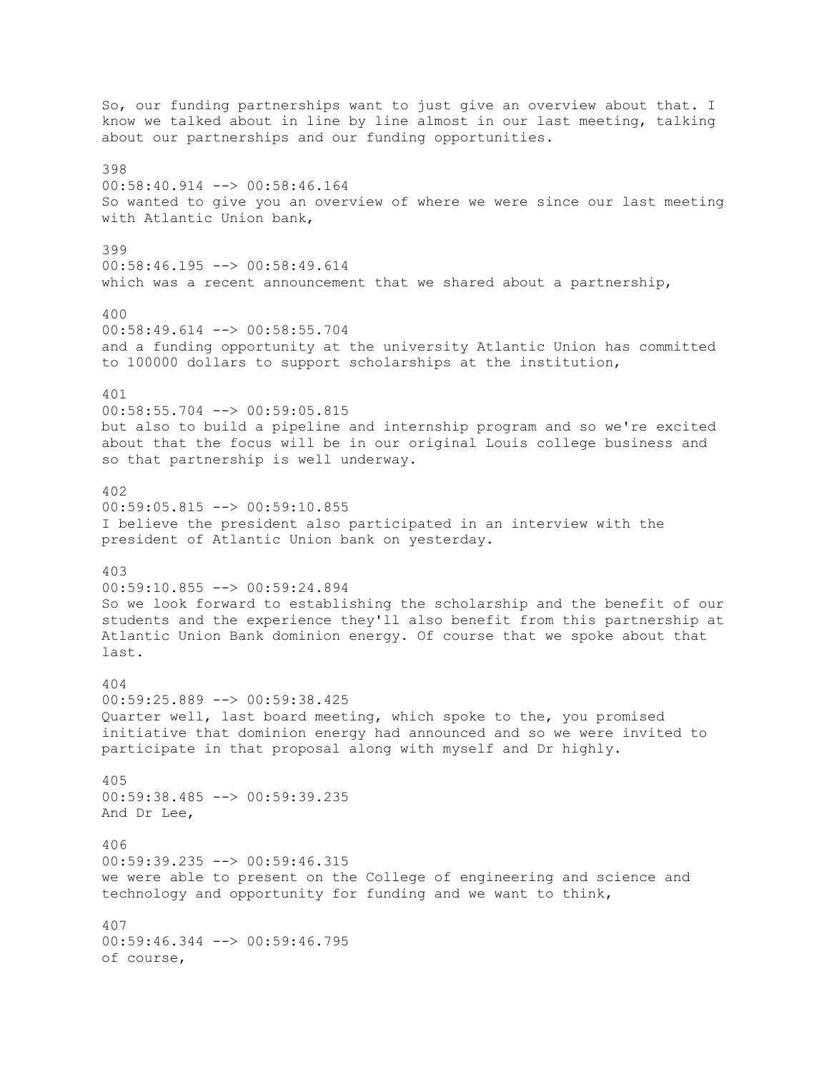So, our funding partnerships want to just give an overview about that. I know we talked about in line by line almost in our last meeting, talking about our partnerships and our funding opportunities. 398 00:58:40.914 --> 00:58:46.164 So wanted to give you an overview of where we were since our last meeting with Atlantic Union bank, 399 00:58:46.195 --> 00:58:49.614 which was a recent announcement that we shared about a partnership, 400 00:58:49.614 --> 00:58:55.704 and a funding opportunity at the university Atlantic Union has committed to 100000 dollars to support scholarships at the institution, 401 00:58:55.704 --> 00:59:05.815 but also to build a pipeline and internship program and so we're excited about that the focus will be in our original Louis college business and so that partnership is well underway. 402 00:59:05.815 --> 00:59:10.855 I believe the president also participated in an interview with the president of Atlantic Union bank on yesterday. 403 00:59:10.855 --> 00:59:24.894 So we look forward to establishing the scholarship and the benefit of our students and the experience they'll also benefit from this partnership at Atlantic Union Bank dominion energy. Of course that we spoke about that last. 404 00:59:25.889 --> 00:59:38.425 Quarter well, last board meeting, which spoke to the, you promised initiative that dominion energy had announced and so we were invited to participate in that proposal along with myself and Dr highly. 405 00:59:38.485 --> 00:59:39.235 And Dr Lee, 406 00:59:39.235 --> 00:59:46.315 we were able to present on the College of engineering and science and technology and opportunity for funding and we want to think, 407 00:59:46.344 --> 00:59:46.795 of course,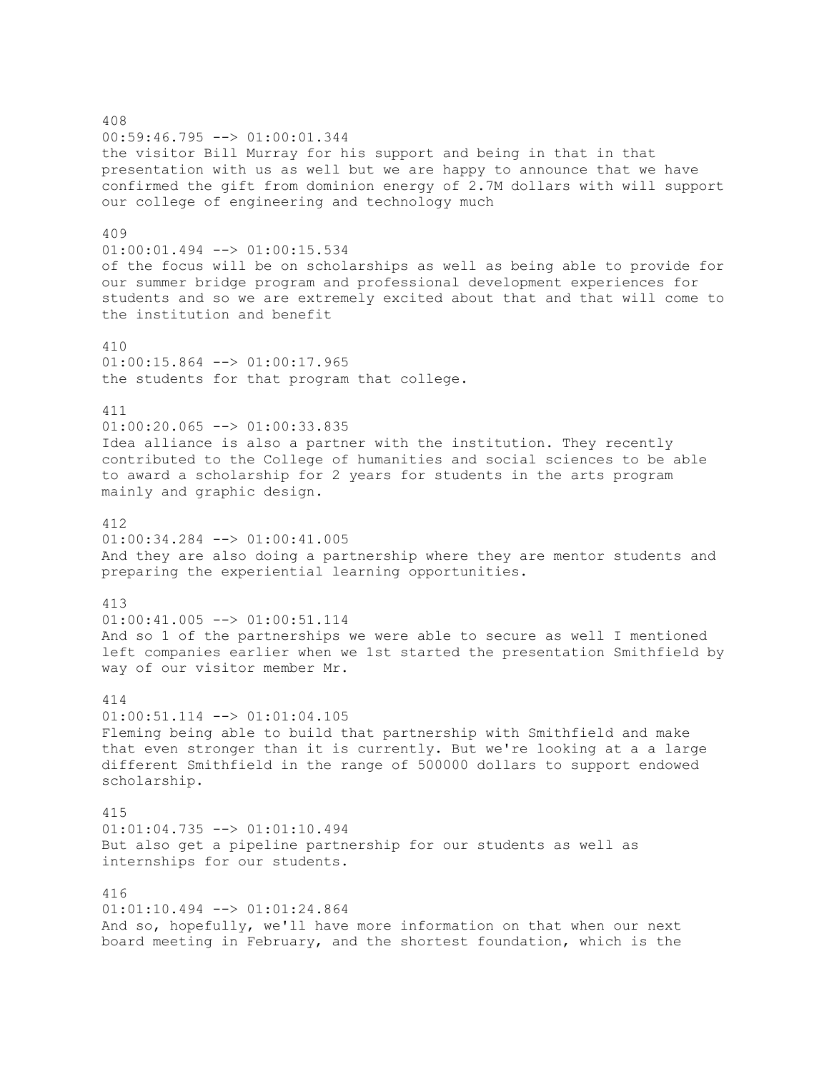408 00:59:46.795 --> 01:00:01.344 the visitor Bill Murray for his support and being in that in that presentation with us as well but we are happy to announce that we have confirmed the gift from dominion energy of 2.7M dollars with will support our college of engineering and technology much 409 01:00:01.494 --> 01:00:15.534 of the focus will be on scholarships as well as being able to provide for our summer bridge program and professional development experiences for students and so we are extremely excited about that and that will come to the institution and benefit 410 01:00:15.864 --> 01:00:17.965 the students for that program that college. 411  $01:00:20.065$  -->  $01:00:33.835$ Idea alliance is also a partner with the institution. They recently contributed to the College of humanities and social sciences to be able to award a scholarship for 2 years for students in the arts program mainly and graphic design. 412 01:00:34.284 --> 01:00:41.005 And they are also doing a partnership where they are mentor students and preparing the experiential learning opportunities. 413 01:00:41.005 --> 01:00:51.114 And so 1 of the partnerships we were able to secure as well I mentioned left companies earlier when we 1st started the presentation Smithfield by way of our visitor member Mr. 414  $01:00:51.114$   $\leftarrow$   $>$   $01:01:04.105$ Fleming being able to build that partnership with Smithfield and make that even stronger than it is currently. But we're looking at a a large different Smithfield in the range of 500000 dollars to support endowed scholarship. 415 01:01:04.735 --> 01:01:10.494 But also get a pipeline partnership for our students as well as internships for our students. 416 01:01:10.494 --> 01:01:24.864 And so, hopefully, we'll have more information on that when our next board meeting in February, and the shortest foundation, which is the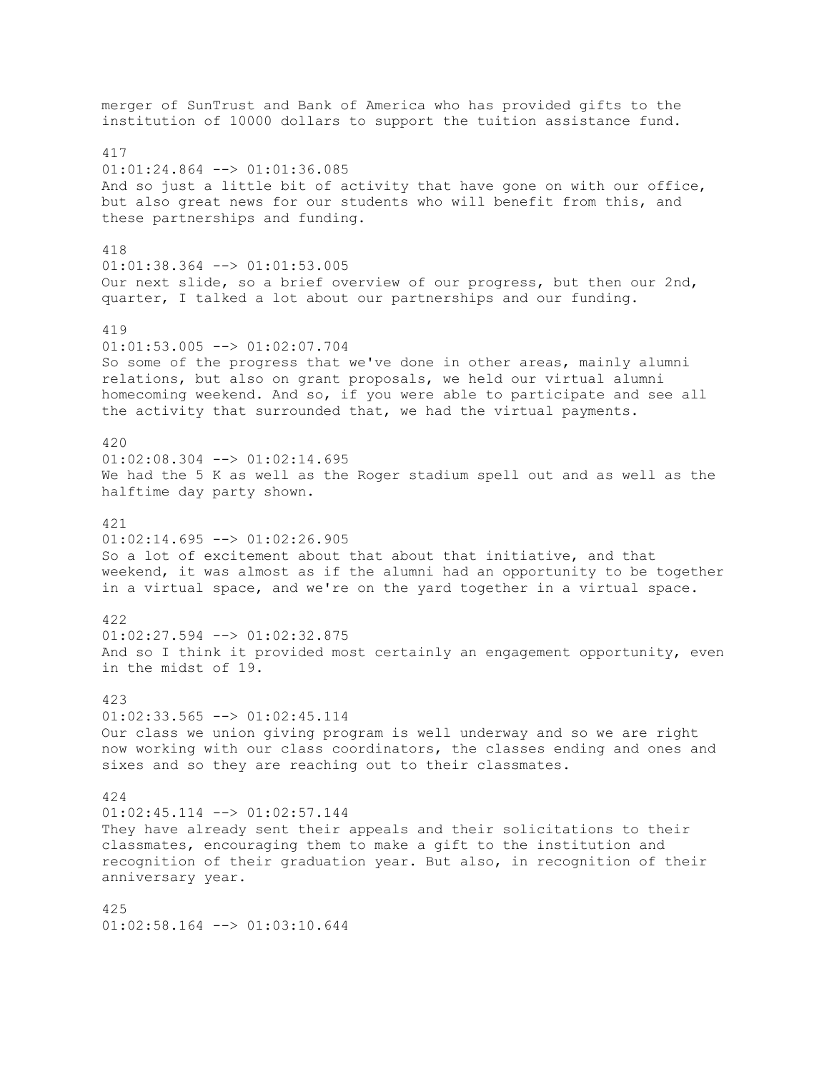merger of SunTrust and Bank of America who has provided gifts to the institution of 10000 dollars to support the tuition assistance fund. 417 01:01:24.864 --> 01:01:36.085 And so just a little bit of activity that have gone on with our office, but also great news for our students who will benefit from this, and these partnerships and funding. 418 01:01:38.364 --> 01:01:53.005 Our next slide, so a brief overview of our progress, but then our 2nd, quarter, I talked a lot about our partnerships and our funding. 419  $01:01:53.005$   $\rightarrow$   $01:02:07.704$ So some of the progress that we've done in other areas, mainly alumni relations, but also on grant proposals, we held our virtual alumni homecoming weekend. And so, if you were able to participate and see all the activity that surrounded that, we had the virtual payments. 420  $01:02:08.304$  -->  $01:02:14.695$ We had the 5 K as well as the Roger stadium spell out and as well as the halftime day party shown. 421  $01:02:14.695$   $\longrightarrow$   $01:02:26.905$ So a lot of excitement about that about that initiative, and that weekend, it was almost as if the alumni had an opportunity to be together in a virtual space, and we're on the yard together in a virtual space. 422  $01:02:27.594$   $\leftarrow$   $>$   $01:02:32.875$ And so I think it provided most certainly an engagement opportunity, even in the midst of 19. 423  $01:02:33.565$   $\leftarrow$   $>$   $01:02:45.114$ Our class we union giving program is well underway and so we are right now working with our class coordinators, the classes ending and ones and sixes and so they are reaching out to their classmates. 424  $01:02:45.114$   $\leftarrow$   $>$   $01:02:57.144$ They have already sent their appeals and their solicitations to their classmates, encouraging them to make a gift to the institution and recognition of their graduation year. But also, in recognition of their anniversary year. 425  $01:02:58.164$  -->  $01:03:10.644$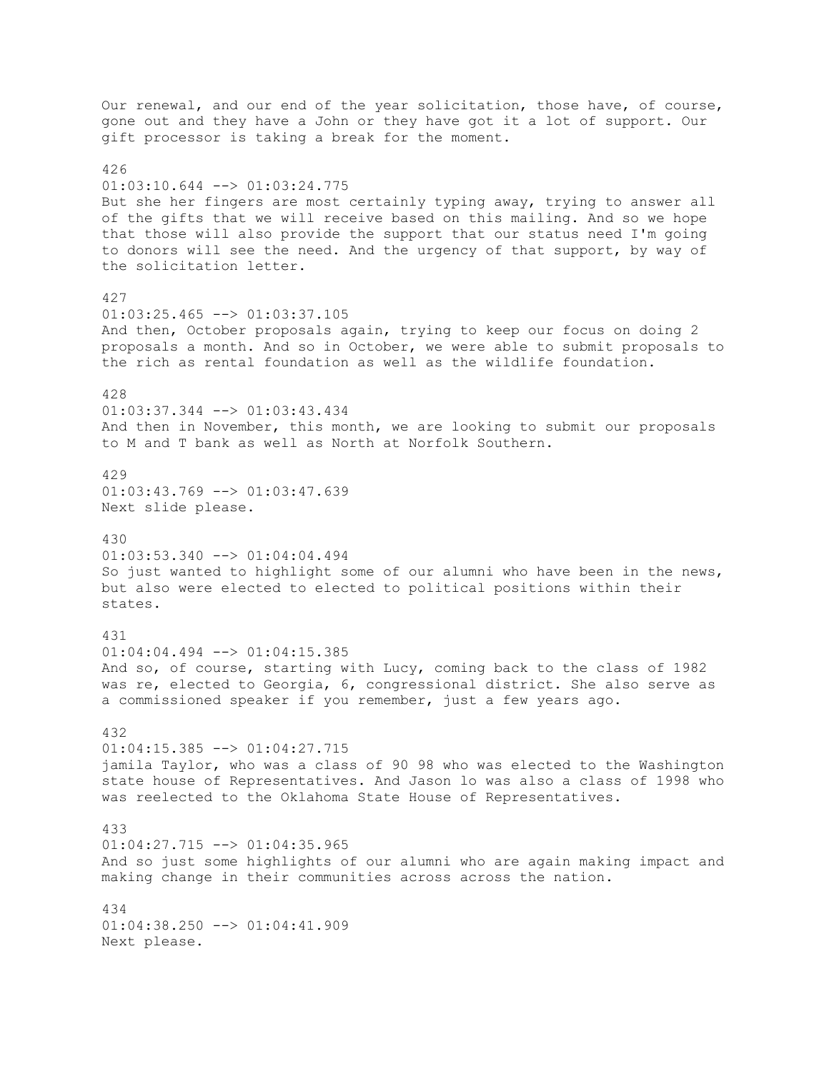Our renewal, and our end of the year solicitation, those have, of course, gone out and they have a John or they have got it a lot of support. Our gift processor is taking a break for the moment. 426 01:03:10.644 --> 01:03:24.775 But she her fingers are most certainly typing away, trying to answer all of the gifts that we will receive based on this mailing. And so we hope that those will also provide the support that our status need I'm going to donors will see the need. And the urgency of that support, by way of the solicitation letter. 427 01:03:25.465 --> 01:03:37.105 And then, October proposals again, trying to keep our focus on doing 2 proposals a month. And so in October, we were able to submit proposals to the rich as rental foundation as well as the wildlife foundation. 428 01:03:37.344 --> 01:03:43.434 And then in November, this month, we are looking to submit our proposals to M and T bank as well as North at Norfolk Southern. 429 01:03:43.769 --> 01:03:47.639 Next slide please. 430 01:03:53.340 --> 01:04:04.494 So just wanted to highlight some of our alumni who have been in the news, but also were elected to elected to political positions within their states. 431  $01:04:04.494$  -->  $01:04:15.385$ And so, of course, starting with Lucy, coming back to the class of 1982 was re, elected to Georgia, 6, congressional district. She also serve as a commissioned speaker if you remember, just a few years ago. 432  $01:04:15.385$   $\leftarrow$  >  $01:04:27.715$ jamila Taylor, who was a class of 90 98 who was elected to the Washington state house of Representatives. And Jason lo was also a class of 1998 who was reelected to the Oklahoma State House of Representatives. 433  $01:04:27.715$   $\leftarrow$   $>$   $01:04:35.965$ And so just some highlights of our alumni who are again making impact and making change in their communities across across the nation. 434  $01:04:38.250$  -->  $01:04:41.909$ Next please.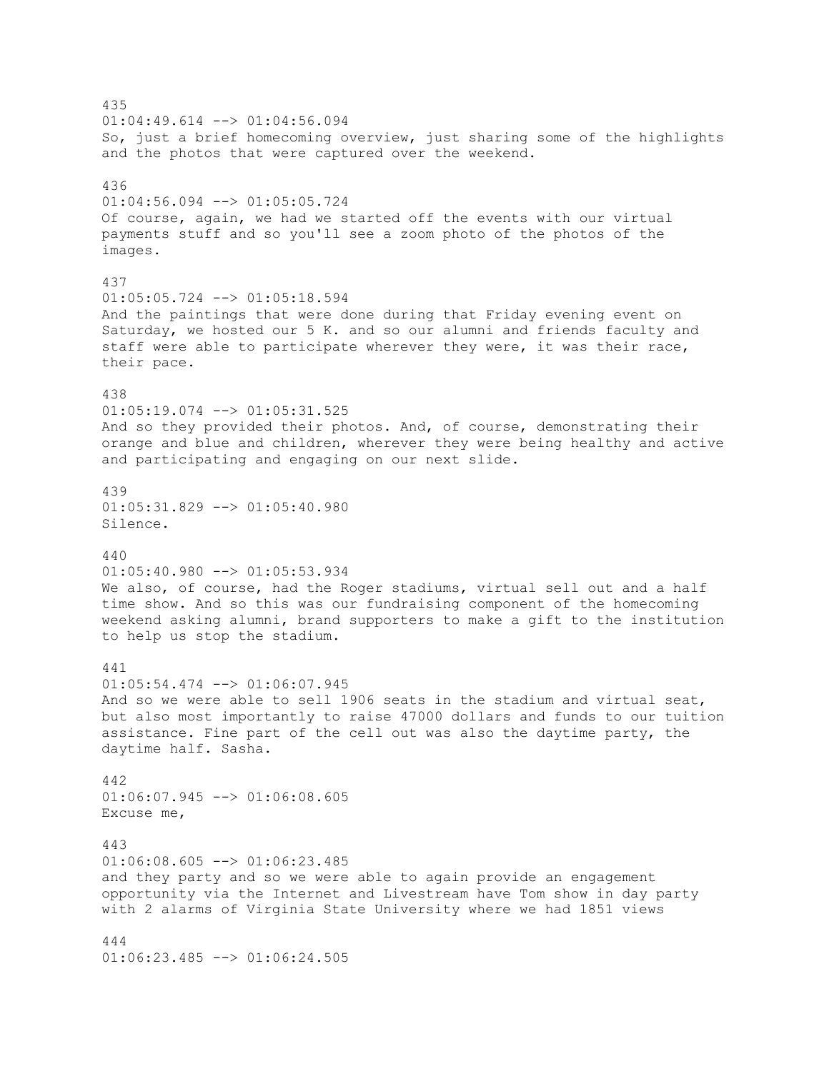435  $01:04:49.614$   $\leftarrow$   $>$   $01:04:56.094$ So, just a brief homecoming overview, just sharing some of the highlights and the photos that were captured over the weekend. 436 01:04:56.094 --> 01:05:05.724 Of course, again, we had we started off the events with our virtual payments stuff and so you'll see a zoom photo of the photos of the images. 437 01:05:05.724 --> 01:05:18.594 And the paintings that were done during that Friday evening event on Saturday, we hosted our 5 K. and so our alumni and friends faculty and staff were able to participate wherever they were, it was their race, their pace. 438 01:05:19.074 --> 01:05:31.525 And so they provided their photos. And, of course, demonstrating their orange and blue and children, wherever they were being healthy and active and participating and engaging on our next slide. 439 01:05:31.829 --> 01:05:40.980 Silence. 440 01:05:40.980 --> 01:05:53.934 We also, of course, had the Roger stadiums, virtual sell out and a half time show. And so this was our fundraising component of the homecoming weekend asking alumni, brand supporters to make a gift to the institution to help us stop the stadium. 441 01:05:54.474 --> 01:06:07.945 And so we were able to sell 1906 seats in the stadium and virtual seat, but also most importantly to raise 47000 dollars and funds to our tuition assistance. Fine part of the cell out was also the daytime party, the daytime half. Sasha. 442  $01:06:07.945$   $\leftarrow$   $>$   $01:06:08.605$ Excuse me, 443  $01:06:08.605$  -->  $01:06:23.485$ and they party and so we were able to again provide an engagement opportunity via the Internet and Livestream have Tom show in day party with 2 alarms of Virginia State University where we had 1851 views 444 01:06:23.485 --> 01:06:24.505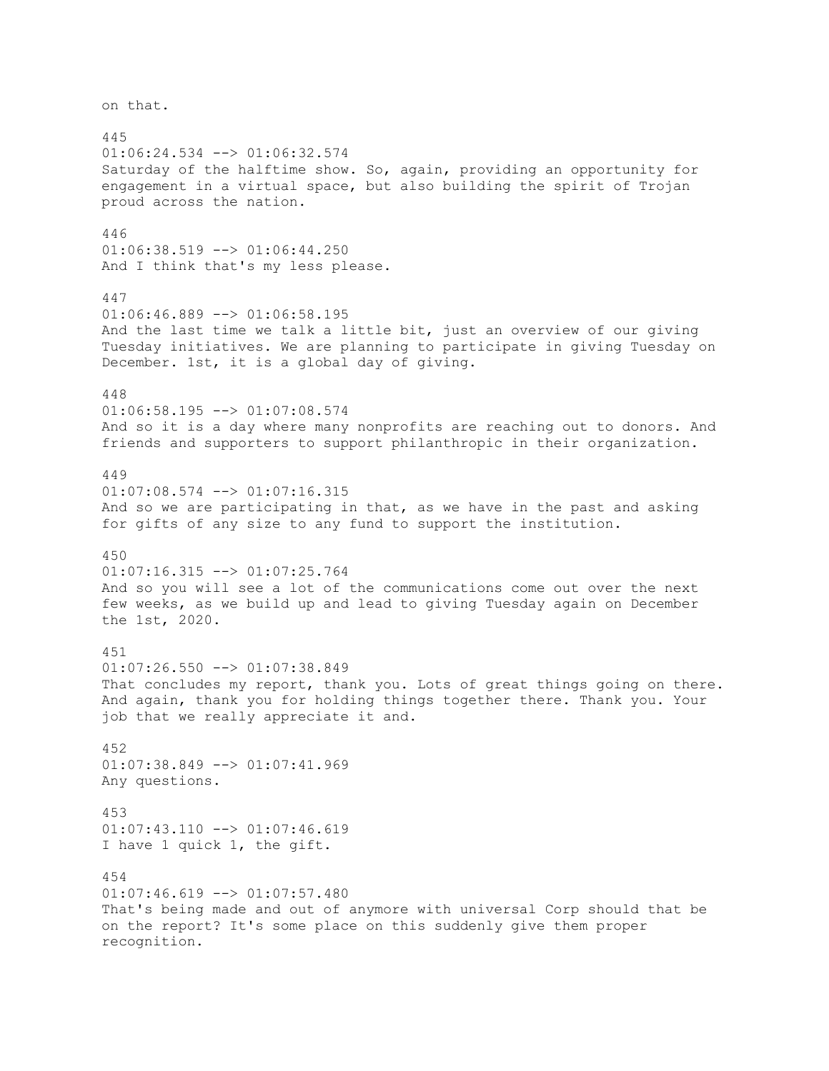on that. 445 01:06:24.534 --> 01:06:32.574 Saturday of the halftime show. So, again, providing an opportunity for engagement in a virtual space, but also building the spirit of Trojan proud across the nation. 446 01:06:38.519 --> 01:06:44.250 And I think that's my less please. 447 01:06:46.889 --> 01:06:58.195 And the last time we talk a little bit, just an overview of our giving Tuesday initiatives. We are planning to participate in giving Tuesday on December. 1st, it is a global day of giving. 448  $01:06:58.195$  -->  $01:07:08.574$ And so it is a day where many nonprofits are reaching out to donors. And friends and supporters to support philanthropic in their organization. 449 01:07:08.574 --> 01:07:16.315 And so we are participating in that, as we have in the past and asking for gifts of any size to any fund to support the institution. 450  $01:07:16.315$   $\leftarrow$   $>$   $01:07:25.764$ And so you will see a lot of the communications come out over the next few weeks, as we build up and lead to giving Tuesday again on December the 1st, 2020. 451  $01:07:26.550$  -->  $01:07:38.849$ That concludes my report, thank you. Lots of great things going on there. And again, thank you for holding things together there. Thank you. Your job that we really appreciate it and. 452 01:07:38.849 --> 01:07:41.969 Any questions. 453 01:07:43.110 --> 01:07:46.619 I have 1 quick 1, the gift. 454  $01:07:46.619$  -->  $01:07:57.480$ That's being made and out of anymore with universal Corp should that be on the report? It's some place on this suddenly give them proper recognition.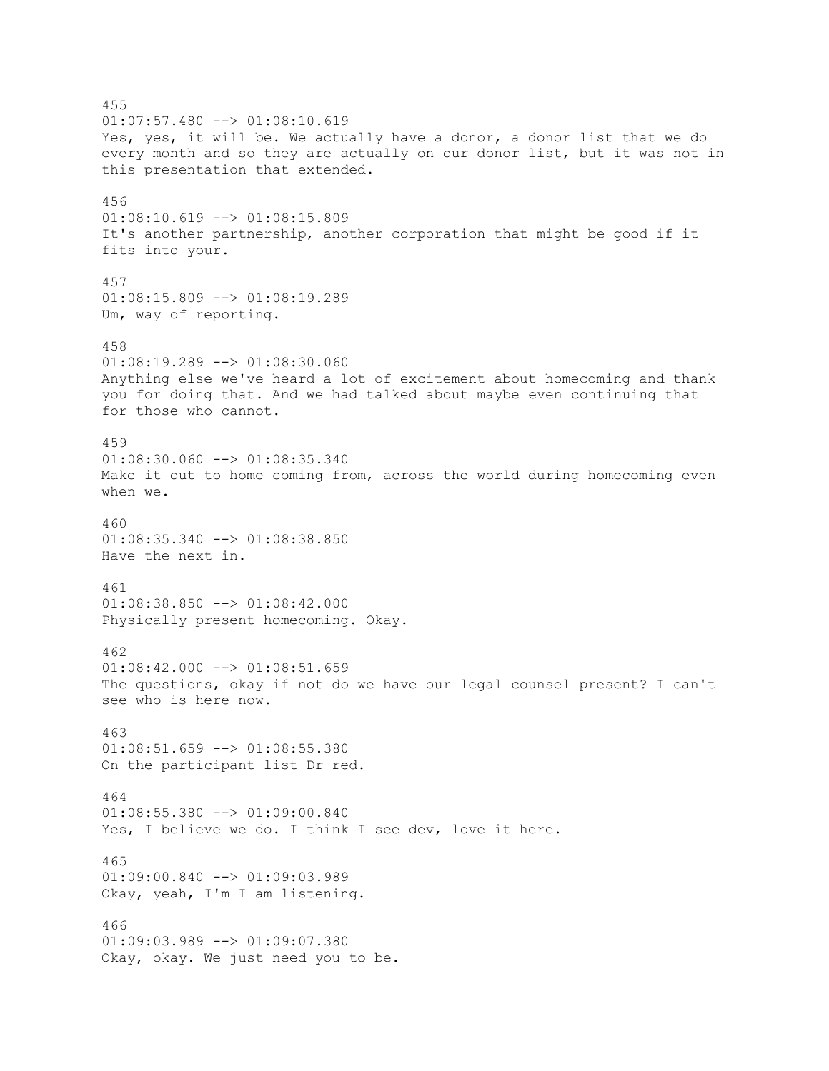455  $01:07:57.480$   $\leftarrow$   $>$   $01:08:10.619$ Yes, yes, it will be. We actually have a donor, a donor list that we do every month and so they are actually on our donor list, but it was not in this presentation that extended. 456 01:08:10.619 --> 01:08:15.809 It's another partnership, another corporation that might be good if it fits into your. 457  $01:08:15.809$  -->  $01:08:19.289$ Um, way of reporting. 458 01:08:19.289 --> 01:08:30.060 Anything else we've heard a lot of excitement about homecoming and thank you for doing that. And we had talked about maybe even continuing that for those who cannot. 459 01:08:30.060 --> 01:08:35.340 Make it out to home coming from, across the world during homecoming even when we. 460 01:08:35.340 --> 01:08:38.850 Have the next in. 461 01:08:38.850 --> 01:08:42.000 Physically present homecoming. Okay. 462  $01:08:42.000$  -->  $01:08:51.659$ The questions, okay if not do we have our legal counsel present? I can't see who is here now. 463  $01:08:51.659$  -->  $01:08:55.380$ On the participant list Dr red. 464  $01:08:55.380$  -->  $01:09:00.840$ Yes, I believe we do. I think I see dev, love it here. 465 01:09:00.840 --> 01:09:03.989 Okay, yeah, I'm I am listening. 466 01:09:03.989 --> 01:09:07.380 Okay, okay. We just need you to be.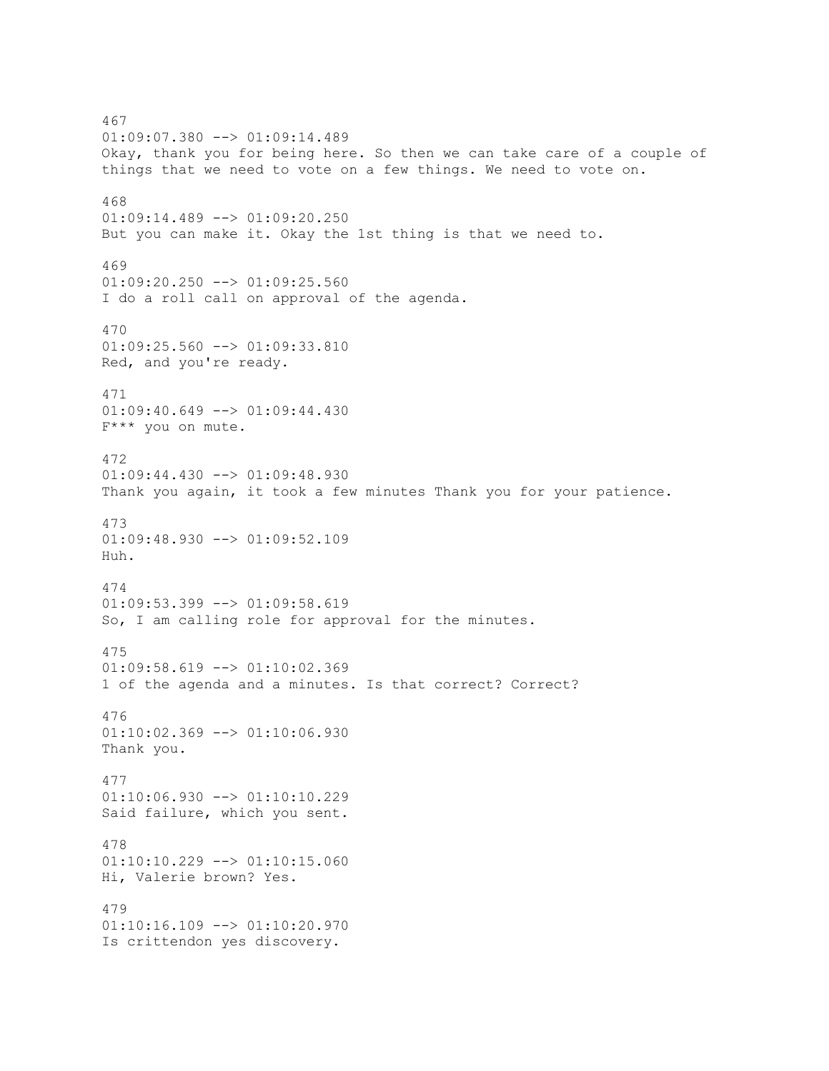467 01:09:07.380 --> 01:09:14.489 Okay, thank you for being here. So then we can take care of a couple of things that we need to vote on a few things. We need to vote on. 468 01:09:14.489 --> 01:09:20.250 But you can make it. Okay the 1st thing is that we need to. 469  $01:09:20.250$  -->  $01:09:25.560$ I do a roll call on approval of the agenda. 470 01:09:25.560 --> 01:09:33.810 Red, and you're ready. 471  $01:09:40.649$  -->  $01:09:44.430$ F\*\*\* you on mute. 472 01:09:44.430 --> 01:09:48.930 Thank you again, it took a few minutes Thank you for your patience. 473  $01:09:48.930$  -->  $01:09:52.109$ Huh. 474  $01:09:53.399$  -->  $01:09:58.619$ So, I am calling role for approval for the minutes. 475  $01:09:58.619$  -->  $01:10:02.369$ 1 of the agenda and a minutes. Is that correct? Correct? 476 01:10:02.369 --> 01:10:06.930 Thank you. 477 01:10:06.930 --> 01:10:10.229 Said failure, which you sent. 478 01:10:10.229 --> 01:10:15.060 Hi, Valerie brown? Yes. 479  $01:10:16.109$  -->  $01:10:20.970$ Is crittendon yes discovery.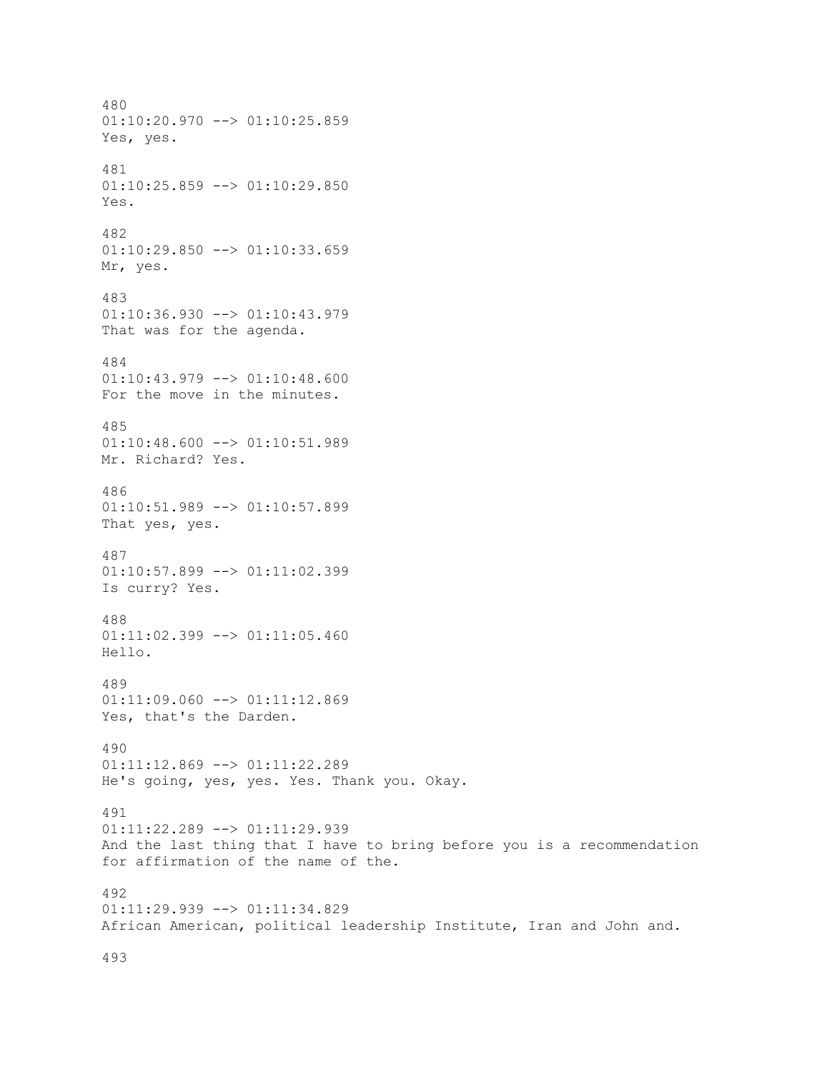480  $01:10:20.970$  -->  $01:10:25.859$ Yes, yes. 481  $01:10:25.859$  -->  $01:10:29.850$ Yes. 482 01:10:29.850 --> 01:10:33.659 Mr, yes. 483  $01:10:36.930$  -->  $01:10:43.979$ That was for the agenda. 484 01:10:43.979 --> 01:10:48.600 For the move in the minutes. 485 01:10:48.600 --> 01:10:51.989 Mr. Richard? Yes. 486 01:10:51.989 --> 01:10:57.899 That yes, yes. 487 01:10:57.899 --> 01:11:02.399 Is curry? Yes. 488  $01:11:02.399$  -->  $01:11:05.460$ Hello. 489 01:11:09.060 --> 01:11:12.869 Yes, that's the Darden. 490 01:11:12.869 --> 01:11:22.289 He's going, yes, yes. Yes. Thank you. Okay. 491 01:11:22.289 --> 01:11:29.939 And the last thing that I have to bring before you is a recommendation for affirmation of the name of the. 492 01:11:29.939 --> 01:11:34.829 African American, political leadership Institute, Iran and John and.

493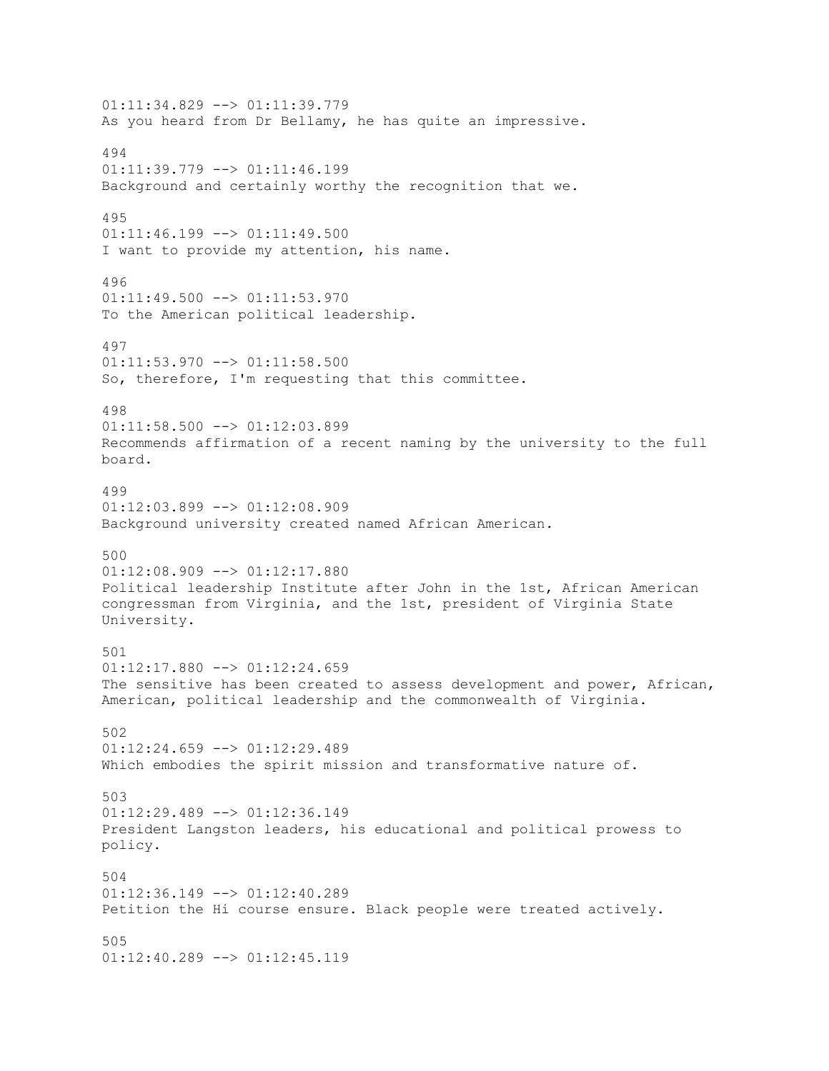01:11:34.829 --> 01:11:39.779 As you heard from Dr Bellamy, he has quite an impressive. 494 01:11:39.779 --> 01:11:46.199 Background and certainly worthy the recognition that we. 495  $01:11:46.199$  -->  $01:11:49.500$ I want to provide my attention, his name. 496  $01:11:49.500$  -->  $01:11:53.970$ To the American political leadership. 497 01:11:53.970 --> 01:11:58.500 So, therefore, I'm requesting that this committee. 498  $01:11:58.500$  -->  $01:12:03.899$ Recommends affirmation of a recent naming by the university to the full board. 499 01:12:03.899 --> 01:12:08.909 Background university created named African American. 500 01:12:08.909 --> 01:12:17.880 Political leadership Institute after John in the 1st, African American congressman from Virginia, and the 1st, president of Virginia State University. 501  $01:12:17.880$  -->  $01:12:24.659$ The sensitive has been created to assess development and power, African, American, political leadership and the commonwealth of Virginia. 502  $01:12:24.659$  -->  $01:12:29.489$ Which embodies the spirit mission and transformative nature of. 503  $01:12:29.489$  -->  $01:12:36.149$ President Langston leaders, his educational and political prowess to policy. 504  $01:12:36.149$  -->  $01:12:40.289$ Petition the Hi course ensure. Black people were treated actively. 505 01:12:40.289 --> 01:12:45.119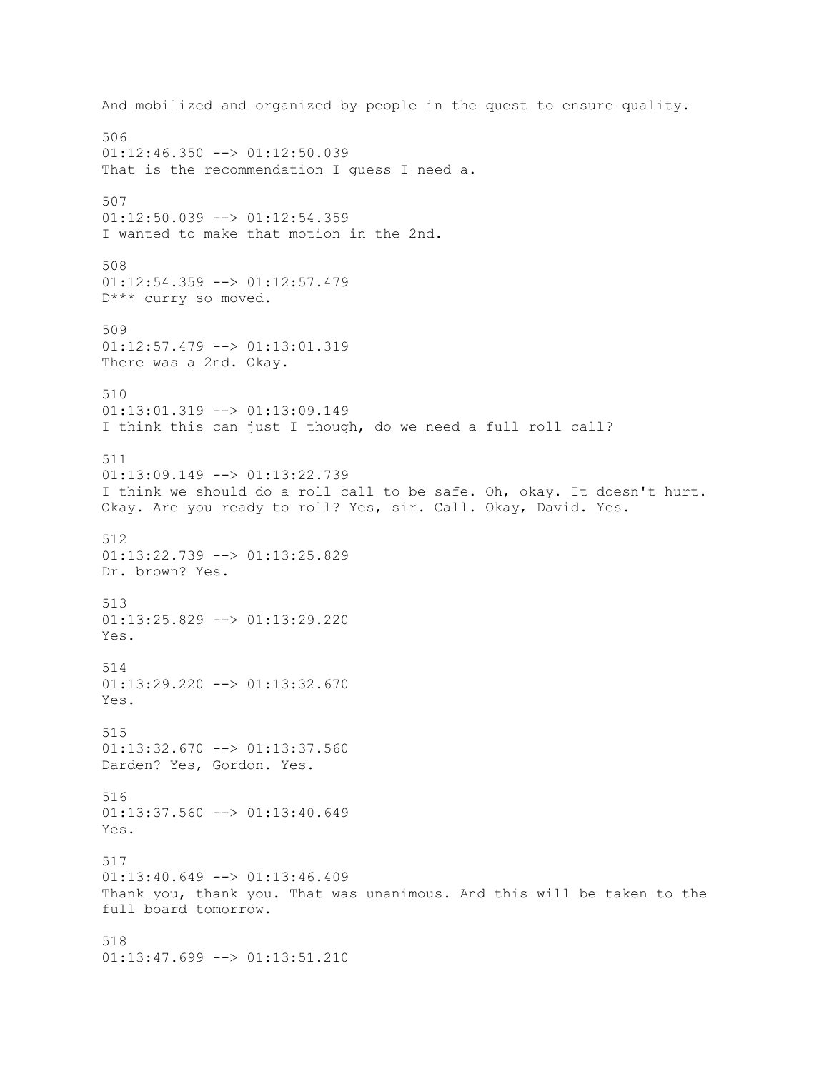And mobilized and organized by people in the quest to ensure quality. 506  $01:12:46.350$  -->  $01:12:50.039$ That is the recommendation I quess I need a. 507  $01:12:50.039$  -->  $01:12:54.359$ I wanted to make that motion in the 2nd. 508 01:12:54.359 --> 01:12:57.479 D\*\*\* curry so moved. 509 01:12:57.479 --> 01:13:01.319 There was a 2nd. Okay. 510  $01:13:01.319$  -->  $01:13:09.149$ I think this can just I though, do we need a full roll call? 511 01:13:09.149 --> 01:13:22.739 I think we should do a roll call to be safe. Oh, okay. It doesn't hurt. Okay. Are you ready to roll? Yes, sir. Call. Okay, David. Yes. 512 01:13:22.739 --> 01:13:25.829 Dr. brown? Yes. 513 01:13:25.829 --> 01:13:29.220 Yes. 514 01:13:29.220 --> 01:13:32.670 Yes. 515  $01:13:32.670$  -->  $01:13:37.560$ Darden? Yes, Gordon. Yes. 516 01:13:37.560 --> 01:13:40.649 Yes. 517  $01:13:40.649$  -->  $01:13:46.409$ Thank you, thank you. That was unanimous. And this will be taken to the full board tomorrow. 518 01:13:47.699 --> 01:13:51.210